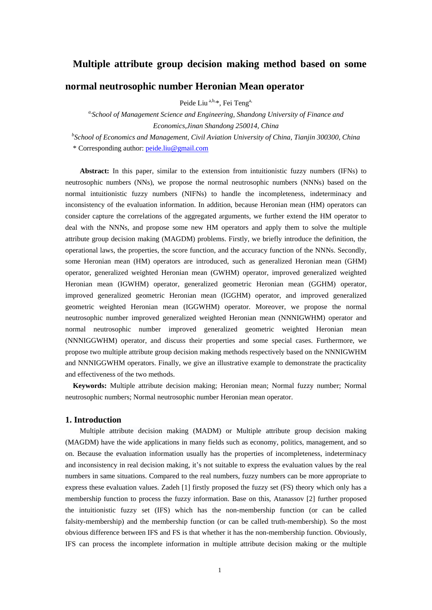# **Multiple attribute group decision making method based on some**

# **normal neutrosophic number Heronian Mean operator**

Peide Liu<sup>a,b,\*</sup>, Fei Teng<sup>a,</sup>

*a,School of Management Science and Engineering, Shandong University of Finance and Economics,Jinan Shandong 250014, China*

*b School of Economics and Management, Civil Aviation University of China, Tianjin 300300, China* \* Corresponding author: [peide.liu@gmail.com](mailto:peide.liu@gmail.com)

**Abstract:** In this paper, similar to the extension from intuitionistic fuzzy numbers (IFNs) to neutrosophic numbers (NNs), we propose the normal neutrosophic numbers (NNNs) based on the normal intuitionistic fuzzy numbers (NIFNs) to handle the incompleteness, indeterminacy and inconsistency of the evaluation information. In addition, because Heronian mean (HM) operators can consider capture the correlations of the aggregated arguments, we further extend the HM operator to deal with the NNNs, and propose some new HM operators and apply them to solve the multiple attribute group decision making (MAGDM) problems. Firstly, we briefly introduce the definition, the operational laws, the properties, the score function, and the accuracy function of the NNNs. Secondly, some Heronian mean (HM) operators are introduced, such as generalized Heronian mean (GHM) operator, generalized weighted Heronian mean (GWHM) operator, improved generalized weighted Heronian mean (IGWHM) operator, generalized geometric Heronian mean (GGHM) operator, improved generalized geometric Heronian mean (IGGHM) operator, and improved generalized geometric weighted Heronian mean (IGGWHM) operator. Moreover, we propose the normal neutrosophic number improved generalized weighted Heronian mean (NNNIGWHM) operator and normal neutrosophic number improved generalized geometric weighted Heronian mean (NNNIGGWHM) operator, and discuss their properties and some special cases. Furthermore, we propose two multiple attribute group decision making methods respectively based on the NNNIGWHM and NNNIGGWHM operators. Finally, we give an illustrative example to demonstrate the practicality and effectiveness of the two methods.

**Keywords:** Multiple attribute decision making; Heronian mean; Normal fuzzy number; Normal neutrosophic numbers; Normal neutrosophic number Heronian mean operator.

### **1. Introduction**

Multiple attribute decision making (MADM) or Multiple attribute group decision making (MAGDM) have the wide applications in many fields such as economy, politics, management, and so on. Because the evaluation information usually has the properties of incompleteness, indeterminacy and inconsistency in real decision making, it's not suitable to express the evaluation values by the real numbers in same situations. Compared to the real numbers, fuzzy numbers can be more appropriate to express these evaluation values. Zadeh [1] firstly proposed the fuzzy set (FS) theory which only has a membership function to process the fuzzy information. Base on this, Atanassov [2] further proposed the intuitionistic fuzzy set (IFS) which has the non-membership function (or can be called falsity-membership) and the membership function (or can be called truth-membership). So the most obvious difference between IFS and FS is that whether it has the non-membership function. Obviously, IFS can process the incomplete information in multiple attribute decision making or the multiple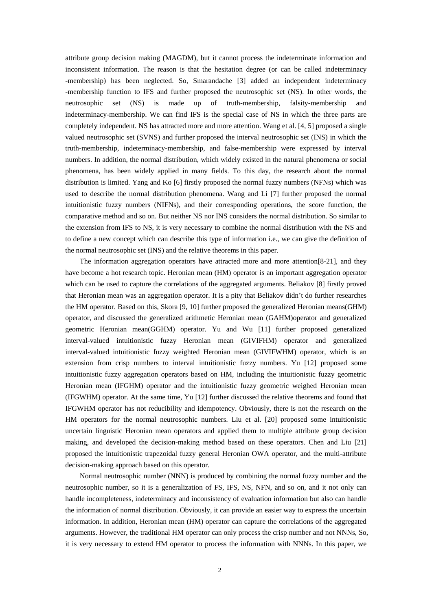attribute group decision making (MAGDM), but it cannot process the indeterminate information and inconsistent information. The reason is that the hesitation degree (or can be called indeterminacy -membership) has been neglected. So, Smarandache [3] added an independent indeterminacy -membership function to IFS and further proposed the neutrosophic set (NS). In other words, the neutrosophic set (NS) is made up of truth-membership, falsity-membership and indeterminacy-membership. We can find IFS is the special case of NS in which the three parts are completely independent. NS has attracted more and more attention. Wang et al. [4, 5] proposed a single valued neutrosophic set (SVNS) and further proposed the interval neutrosophic set (INS) in which the truth-membership, indeterminacy-membership, and false-membership were expressed by interval numbers. In addition, the normal distribution, which widely existed in the natural phenomena or social phenomena, has been widely applied in many fields. To this day, the research about the normal distribution is limited. Yang and Ko [6] firstly proposed the normal fuzzy numbers (NFNs) which was used to describe the normal distribution phenomena. Wang and Li [7] further proposed the normal intuitionistic fuzzy numbers (NIFNs), and their corresponding operations, the score function, the comparative method and so on. But neither NS nor INS considers the normal distribution. So similar to the extension from IFS to NS, it is very necessary to combine the normal distribution with the NS and to define a new concept which can describe this type of information i.e., we can give the definition of the normal neutrosophic set (INS) and the relative theorems in this paper.

The information aggregation operators have attracted more and more attention[8-21], and they have become a hot research topic. Heronian mean (HM) operator is an important aggregation operator which can be used to capture the correlations of the aggregated arguments. Beliakov [8] firstly proved that Heronian mean was an aggregation operator. It is a pity that Beliakov didn't do further researches the HM operator. Based on this, Skora [9, 10] further proposed the generalized Heronian means(GHM) operator, and discussed the generalized arithmetic Heronian mean (GAHM)operator and generalized geometric Heronian mean(GGHM) operator. Yu and Wu [11] further proposed generalized interval-valued intuitionistic fuzzy Heronian mean (GIVIFHM) operator and generalized interval-valued intuitionistic fuzzy weighted Heronian mean (GIVIFWHM) operator, which is an extension from crisp numbers to interval intuitionistic fuzzy numbers. Yu [12] proposed some intuitionistic fuzzy aggregation operators based on HM, including the intuitionistic fuzzy geometric Heronian mean (IFGHM) operator and the intuitionistic fuzzy geometric weighed Heronian mean (IFGWHM) operator. At the same time, Yu [12] further discussed the relative theorems and found that IFGWHM operator has not reducibility and idempotency. Obviously, there is not the research on the HM operators for the normal neutrosophic numbers. Liu et al. [20] proposed some intuitionistic uncertain linguistic Heronian mean operators and applied them to multiple attribute group decision making, and developed the decision-making method based on these operators. Chen and Liu [21] proposed the intuitionistic trapezoidal fuzzy general Heronian OWA operator, and the multi-attribute decision-making approach based on this operator.

Normal neutrosophic number (NNN) is produced by combining the normal fuzzy number and the neutrosophic number, so it is a generalization of FS, IFS, NS, NFN, and so on, and it not only can handle incompleteness, indeterminacy and inconsistency of evaluation information but also can handle the information of normal distribution. Obviously, it can provide an easier way to express the uncertain information. In addition, Heronian mean (HM) operator can capture the correlations of the aggregated arguments. However, the traditional HM operator can only process the crisp number and not NNNs, So, it is very necessary to extend HM operator to process the information with NNNs. In this paper, we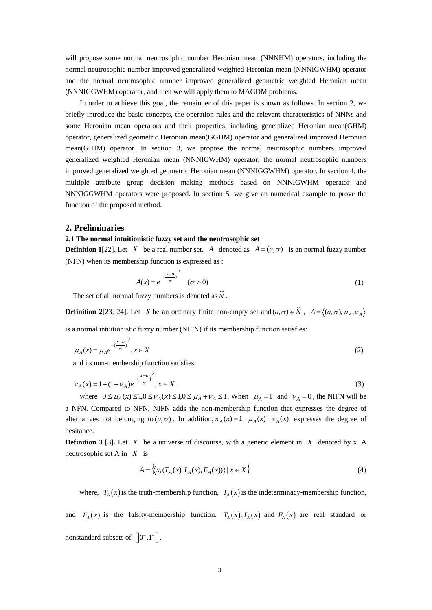will propose some normal neutrosophic number Heronian mean (NNNHM) operators, including the normal neutrosophic number improved generalized weighted Heronian mean (NNNIGWHM) operator and the normal neutrosophic number improved generalized geometric weighted Heronian mean (NNNIGGWHM) operator, and then we will apply them to MAGDM problems.

In order to achieve this goal, the remainder of this paper is shown as follows. In section 2, we briefly introduce the basic concepts, the operation rules and the relevant characteristics of NNNs and some Heronian mean operators and their properties, including generalized Heronian mean(GHM) operator, generalized geometric Heronian mean(GGHM) operator and generalized improved Heronian mean(GIHM) operator. In section 3, we propose the normal neutrosophic numbers improved generalized weighted Heronian mean (NNNIGWHM) operator, the normal neutrosophic numbers improved generalized weighted geometric Heronian mean (NNNIGGWHM) operator. In section 4, the multiple attribute group decision making methods based on NNNIGWHM operator and NNNIGGWHM operators were proposed. In section 5, we give an numerical example to prove the function of the proposed method.

## **2. Preliminaries**

#### **2.1 The normal intuitionistic fuzzy set and the neutrosophic set**

**Definition 1**[22]. Let X be a real number set. A denoted as  $A = (a, \sigma)$  is an normal fuzzy number (NFN) when its membership function is expressed as :

$$
A(x) = e^{-\left(\frac{x-a}{\sigma}\right)^2} \quad (\sigma > 0)
$$
 (1)

The set of all normal fuzzy numbers is denoted as  $\tilde{N}$ .

**Definition 2**[23, 24]. Let X be an ordinary finite non-empty set and  $(a, \sigma) \in \tilde{N}$ ,  $A = \langle (a, \sigma), \mu_A, \nu_A \rangle$ 

is a normal intuitionistic fuzzy number (NIFN) if its membership function satisfies:

$$
\mu_A(x) = \mu_A e^{-\left(\frac{x-a}{\sigma}\right)^2}, x \in X
$$
\n<sup>(2)</sup>

and its non-membership function satisfies:

$$
V_A(x) = 1 - (1 - V_A)e^{-\left(\frac{x-a}{\sigma}\right)^2}, x \in X.
$$
\n(3)

where  $0 \le \mu_A(x) \le 1, 0 \le \nu_A(x) \le 1, 0 \le \mu_A + \nu_A \le 1$ . When  $\mu_A = 1$  and  $\nu_A = 0$ , the NIFN will be a NFN. Compared to NFN, NIFN adds the non-membership function that expresses the degree of alternatives not belonging to  $(a, \sigma)$ . In addition,  $\pi_A(x) = 1 - \mu_A(x) - \nu_A(x)$  expresses the degree of hesitance.

**Definition 3** [3]. Let  $X$  be a universe of discourse, with a generic element in  $X$  denoted by x. A neutrosophic set A in *X* is

$$
A = \left\langle \left\langle x, \left( T_A(x), I_A(x), F_A(x) \right) \right\rangle \mid x \in X \right\rangle \tag{4}
$$

where,  $T_A(x)$  is the truth-membership function,  $I_A(x)$  is the indeterminacy-membership function,

and  $F_A(x)$  is the falsity-membership function.  $T_A(x)$ ,  $I_A(x)$  and  $F_A(x)$  are real standard or nonstandard subsets of  $\left[0^{-},1^{+}\right[$ .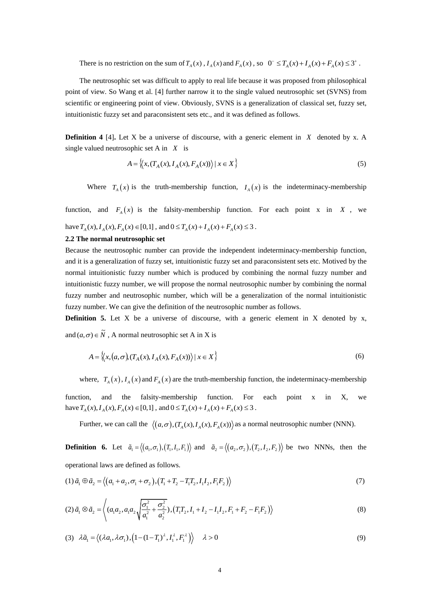There is no restriction on the sum of  $T_A(x)$ ,  $I_A(x)$  and  $F_A(x)$ , so  $0^- \le T_A(x) + I_A(x) + F_A(x) \le 3^+$ .

The neutrosophic set was difficult to apply to real life because it was proposed from philosophical point of view. So Wang et al. [4] further narrow it to the single valued neutrosophic set (SVNS) from scientific or engineering point of view. Obviously, SVNS is a generalization of classical set, fuzzy set, intuitionistic fuzzy set and paraconsistent sets etc., and it was defined as follows.

**Definition 4** [4]. Let X be a universe of discourse, with a generic element in X denoted by x. A single valued neutrosophic set A in *X* is

$$
A = \left\langle \left\langle x, \left(T_A(x), I_A(x), F_A(x)\right) \right\rangle \middle| \ x \in X \right\rangle \tag{5}
$$

Where  $T_A(x)$  is the truth-membership function,  $I_A(x)$  is the indeterminacy-membership

function, and  $F_A(x)$  is the falsity-membership function. For each point x in X, we have  $T_A(x)$ ,  $I_A(x)$ ,  $F_A(x) \in [0,1]$ , and  $0 \le T_A(x) + I_A(x) + F_A(x) \le 3$ .

#### **2.2 The normal neutrosophic set**

Because the neutrosophic number can provide the independent indeterminacy-membership function, and it is a generalization of fuzzy set, intuitionistic fuzzy set and paraconsistent sets etc. Motived by the normal intuitionistic fuzzy number which is produced by combining the normal fuzzy number and intuitionistic fuzzy number, we will propose the normal neutrosophic number by combining the normal fuzzy number and neutrosophic number, which will be a generalization of the normal intuitionistic fuzzy number. We can give the definition of the neutrosophic number as follows.

**Definition** 5. Let X be a universe of discourse, with a generic element in X denoted by x, and  $(a, \sigma) \in \tilde{N}$ , A normal neutrosophic set A in X is

$$
A = \left\{ \left\langle x, \left( a, \sigma \right), \left( T_A(x), I_A(x), F_A(x) \right) \right\rangle \mid x \in X \right\}
$$
\n
$$
(6)
$$

where,  $T_A(x)$ ,  $I_A(x)$  and  $F_A(x)$  are the truth-membership function, the indeterminacy-membership

function, and the falsity-membership function. For each point x in X, we have  $T_A(x)$ ,  $I_A(x)$ ,  $F_A(x) \in [0,1]$ , and  $0 \le T_A(x) + I_A(x) + F_A(x) \le 3$ .

Further, we can call the  $\langle (a, \sigma), (T_A(x), I_A(x), F_A(x)) \rangle$  as a normal neutrosophic number (NNN).

**Definition** 6. Let  $\tilde{a}_1 = \langle (a_1, \sigma_1), (T_1, I_1, F_1) \rangle$  and  $\tilde{a}_2 = \langle (a_2, \sigma_2), (T_2, I_2, F_2) \rangle$  be two NNNs, then the operational laws are defined as follows.

$$
\text{operational laws are defined as follows.}
$$
\n
$$
(1) \tilde{a}_1 \oplus \tilde{a}_2 = \langle (a_1 + a_2, \sigma_1 + \sigma_2), (T_1 + T_2 - T_1 T_2, I_1 I_2, F_1 F_2) \rangle \tag{7}
$$

$$
(2)\tilde{a}_1 \otimes \tilde{a}_2 = \left\langle (a_1 a_2, a_1 a_2 \sqrt{\frac{\sigma_1^2}{a_1^2} + \frac{\sigma_2^2}{a_2^2}}), (T_1 T_2, I_1 + I_2 - I_1 I_2, F_1 + F_2 - F_1 F_2) \right\rangle
$$
\n(8)

(3) 
$$
\lambda \tilde{a}_1 = \langle (\lambda a_1, \lambda \sigma_1), (1 - (1 - T_1)^{\lambda}, I_1^{\lambda}, F_1^{\lambda}) \rangle \quad \lambda > 0
$$
 (9)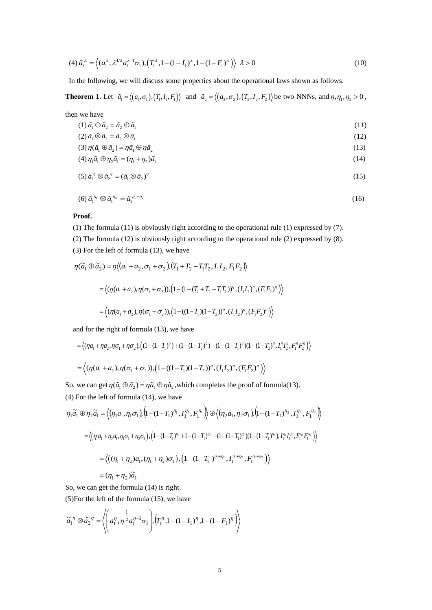$$
(4)\tilde{a}_1^{\lambda} = \left\langle (a_1^{\lambda}, \lambda^{1/2} a_1^{\lambda-1} \sigma_1), (T_1^{\lambda}, 1 - (1 - I_1)^{\lambda}, 1 - (1 - F_1)^{\lambda}) \right\rangle \lambda > 0
$$
\n(10)

In the following, we will discuss some properties about the operational laws shown as follows.

**Theorem 1.** Let  $\tilde{a}_1 = \langle (a_1, \sigma_1), (T_1, I_1, F_1) \rangle$  and  $\tilde{a}_2 = \langle (a_2, \sigma_2), (T_2, I_2, F_2) \rangle$  be two NNNs, and  $\eta, \eta_1, \eta_2 > 0$ ,

then we have

$$
(1)\tilde{a}_1 \oplus \tilde{a}_2 = \tilde{a}_2 \oplus \tilde{a}_1 \tag{11}
$$

$$
(2)\tilde{a}_1 \otimes \tilde{a}_2 = \tilde{a}_2 \otimes \tilde{a}_1
$$
  
\n
$$
(3)\eta(\tilde{a}_1 \oplus \tilde{a}_2) = \eta \tilde{a}_1 \oplus \eta \tilde{a}_2
$$
  
\n(13)

$$
(4)\eta_1 \tilde{a}_1 \oplus \eta_2 \tilde{a}_1 = (\eta_1 + \eta_2)\tilde{a}_1
$$
\n
$$
(14)
$$

$$
(5)\tilde{a}_1^{\eta} \otimes \tilde{a}_2^{\eta} = (\tilde{a}_1 \otimes \tilde{a}_2)^{\eta}
$$

$$
(6)\tilde{a}_1^{\eta_1} \otimes \tilde{a}_1^{\eta_2} = \tilde{a}_1^{\eta_1 + \eta_2} \tag{16}
$$

### **Proof.**

(1) The formula (11) is obviously right according to the operational rule (1) expressed by (7).

(2) The formula (12) is obviously right according to the operational rule (2) expressed by (8). (3) For the left of formula (13), we have

$$
\eta(\tilde{a}_1 \oplus \tilde{a}_2) = \eta \langle (a_1 + a_2, \sigma_1 + \sigma_2), (T_1 + T_2 - T_1 T_2, I_1 I_2, F_1 F_2) \rangle
$$
  
=  $\langle (\eta(a_1 + a_2), \eta(\sigma_1 + \sigma_2)), (1 - (1 - (T_1 + T_2 - T_1 T_2))'', (I_1 I_2)', (F_1 F_2)') \rangle$   
=  $\langle (\eta(a_1 + a_2), \eta(\sigma_1 + \sigma_2)), (1 - ((1 - T_1)(1 - T_2))'', (I_1 I_2)', (F_1 F_2)') \rangle$ 

and for the right of formula (13), we have  
\n
$$
= \langle (\eta a_1 + \eta a_2, \eta \sigma_1 + \eta \sigma_2), ((1 - (1 - T_1)^{\eta}) + (1 - (1 - T_2)^{\eta}) - (1 - (1 - T_1)^{\eta})(1 - (1 - T_2)^{\eta}, I_1^{\eta} I_2^{\eta}, F_1^{\eta} F_2^{\eta}) \rangle
$$
\n
$$
= \langle (\eta (a_1 + a_2), \eta (\sigma_1 + \sigma_2)), (1 - ((1 - T_1)(1 - T_2))^{\eta}, (I_1 I_2)^{\eta}, (F_1 F_2)^{\eta} ) \rangle
$$

So, we can get  $\eta(\tilde{a}_1 \oplus \tilde{a}_2) = \eta \tilde{a}_1 \oplus \eta \tilde{a}_2$ , which completes the proof of formula(13). (4) For the left of formula (14), we have

$$
\eta_1 \tilde{a}_1 \oplus \eta_2 \tilde{a}_1 = \left\langle (\eta_1 a_1, \eta_1 \sigma_1), (1 - (1 - T_1)^{\eta_1}, I_1^{\eta_1}, F_1^{\eta_1}) \right\rangle \oplus \left\langle (\eta_2 a_1, \eta_2 \sigma_1), (1 - (1 - T_1)^{\eta_2}, I_1^{\eta_2}, F_1^{\eta_2}) \right\rangle
$$
  
\n
$$
= \left\langle (\eta_1 a_1 + \eta_2 a_1, \eta_1 \sigma_1 + \eta_2 \sigma_1), (1 - (1 - T_1)^{\eta_1} + 1 - (1 - T_1)^{\eta_2} - (1 - (1 - T_1)^{\eta_1})(1 - (1 - T_1)^{\eta_2}), I_1^{\eta_1} I_1^{\eta_2}, F_1^{\eta_1} F_1^{\eta_2}) \right\rangle
$$
  
\n
$$
= \left\langle ((\eta_1 + \eta_2) a_1, (\eta_1 + \eta_2) \sigma_1), (1 - (1 - T_1)^{\eta_1 + \eta_2}, I_1^{\eta_1 + \eta_2}, F_1^{\eta_1 + \eta_2}) \right\rangle
$$
  
\n
$$
= (\eta_1 + \eta_2) \tilde{a}_1
$$

So, we can get the formula (14) is right. (5)For the left of the formula (15), we have

$$
\tilde{a}_1^{\eta} \otimes \tilde{a}_2^{\eta} = \left\langle \left( a_1^{\eta}, \eta^{\frac{1}{2}} a_1^{\eta-1} \sigma_1 \right), \left( T_1^{\eta}, 1 - (1 - I_1)^{\eta}, 1 - (1 - F_1)^{\eta} \right) \right\rangle
$$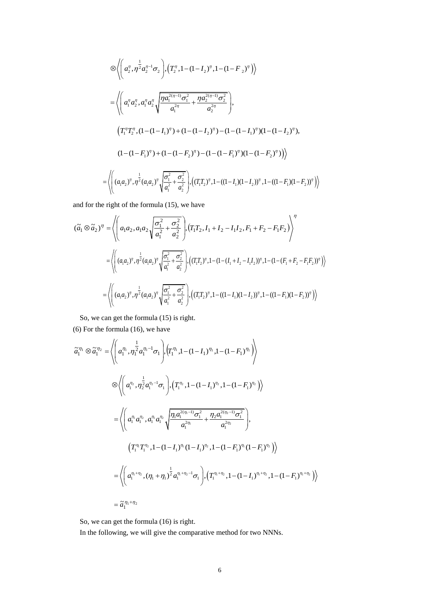$$
\begin{split}\n&\otimes \left\langle \left( a_{2}^{\eta}, \eta^{\frac{1}{2}} a_{2}^{\eta-1} \sigma_{2} \right), \left( T_{2}^{\eta}, 1 - (1 - I_{2})^{\eta}, 1 - (1 - F_{2})^{\eta} \right) \right\rangle \\
&= \left\langle \left( a_{1}^{\eta} a_{2}^{\eta}, a_{1}^{\eta} a_{2}^{\eta} \sqrt{\frac{\eta a_{1}^{2(\eta-1)} \sigma_{1}^{2}}{a_{1}^{2\eta}}} + \frac{\eta a_{2}^{2(\eta-1)} \sigma_{2}^{2}}{a_{2}^{2\eta}} \right), \\
&\left( T_{1}^{\eta} T_{2}^{\eta}, (1 - (1 - I_{1})^{\eta}) + (1 - (1 - I_{2})^{\eta}) - (1 - (1 - I_{1})^{\eta}) (1 - (1 - I_{2})^{\eta}), \right. \\
&\left. (1 - (1 - F_{1})^{\eta}) + (1 - (1 - F_{2})^{\eta}) - (1 - (1 - F_{1})^{\eta}) (1 - (1 - F_{2})^{\eta}) \right) \right\rangle \\
&= \left\langle \left( (a_{1} a_{2})^{\eta}, \eta^{\frac{1}{2}} (a_{1} a_{2})^{\eta} \sqrt{\frac{\sigma_{1}^{2}}{a_{1}^{2} + \frac{\sigma_{2}^{2}}{a_{2}^{2}}}} \right), \left( (T_{1} T_{2})^{\eta}, 1 - ((1 - I_{1}) (1 - I_{2}))^{\eta}, 1 - ((1 - F_{1}) (1 - F_{2}))^{\eta} \right) \right\rangle\n\end{split}
$$

and for the right of the formula (15), we have

$$
(\tilde{a}_{1} \otimes \tilde{a}_{2})^{\eta} = \left\langle \left( a_{1} a_{2}, a_{1} a_{2} \sqrt{\frac{\sigma_{1}^{2}}{a_{1}^{2}} + \frac{\sigma_{2}^{2}}{a_{2}^{2}}} \right) \left( T_{1} T_{2}, I_{1} + I_{2} - I_{1} I_{2}, F_{1} + F_{2} - F_{1} F_{2} \right) \right\rangle^{\eta}
$$
  
\n
$$
= \left\langle \left( (a_{1} a_{2})^{\eta}, \eta^{\frac{1}{2}} (a_{1} a_{2})^{\eta} \sqrt{\frac{\sigma_{1}^{2}}{a_{1}^{2}} + \frac{\sigma_{2}^{2}}{a_{2}^{2}}} \right) \left( (T_{1} T_{2})^{\eta}, 1 - (1 - (I_{1} + I_{2} - I_{1} I_{2}))^{\eta}, 1 - (1 - (F_{1} + F_{2} - F_{1} F_{2}))^{\eta} \right) \right\rangle
$$
  
\n
$$
= \left\langle \left( (a_{1} a_{2})^{\eta}, \eta^{\frac{1}{2}} (a_{1} a_{2})^{\eta} \sqrt{\frac{\sigma_{1}^{2}}{a_{1}^{2}} + \frac{\sigma_{2}^{2}}{a_{2}^{2}}} \right) \left( (T_{1} T_{2})^{\eta}, 1 - ((1 - I_{1})(1 - I_{2}))^{\eta}, 1 - ((1 - F_{1})(1 - F_{2}))^{\eta} \right) \right\rangle
$$

So, we can get the formula (15) is right.

(6) For the formula (16), we have

$$
\tilde{a}_{1}^{\eta_{1}} \otimes \tilde{a}_{1}^{\eta_{2}} = \left\langle \left( a_{1}^{\eta_{1}}, \eta_{1}^{2} a_{1}^{\eta_{1}-1} \sigma_{1} \right) , \left( T_{1}^{\eta_{1}}, 1 - (1 - I_{1})^{\eta_{1}}, 1 - (1 - F_{1})^{\eta_{1}} \right) \right\rangle
$$
\n
$$
\otimes \left\langle \left( a_{1}^{\eta_{2}}, \eta_{2}^{2} a_{1}^{\eta_{2}-1} \sigma_{1} \right) , \left( T_{1}^{\eta_{2}}, 1 - (1 - I_{1})^{\eta_{2}}, 1 - (1 - F_{1})^{\eta_{2}} \right) \right\rangle
$$
\n
$$
= \left\langle \left( a_{1}^{\eta_{1}} a_{1}^{\eta_{2}}, a_{1}^{\eta_{1}} a_{1}^{\eta_{2}} \right) \frac{\eta_{1} a_{1}^{2(\eta_{1}-1)} \sigma_{1}^{2}}{a_{1}^{2\eta_{1}}} + \frac{\eta_{2} a_{1}^{2(\eta_{2}-1)} \sigma_{1}^{2}}{a_{1}^{2\eta_{2}}} \right),
$$
\n
$$
\left( T_{1}^{\eta_{1}} T_{1}^{\eta_{2}}, 1 - (1 - I_{1})^{\eta_{1}} (1 - I_{1})^{\eta_{2}}, 1 - (1 - F_{1})^{\eta_{1}} (1 - F_{1})^{\eta_{2}} \right) \right\rangle
$$
\n
$$
= \left\langle \left( a_{1}^{\eta_{1}+\eta_{2}}, (\eta_{1}+\eta_{1})^{\frac{1}{2}} a_{1}^{\eta_{1}+\eta_{2}-1} \sigma_{1} \right), \left( T_{1}^{\eta_{1}+\eta_{2}}, 1 - (1 - I_{1})^{\eta_{1}+\eta_{2}}, 1 - (1 - F_{1})^{\eta_{1}+\eta_{2}} \right) \right\rangle
$$
\n
$$
= \tilde{a}_{1}^{\eta_{1}+\eta_{2}}
$$

So, we can get the formula (16) is right.

In the following, we will give the comparative method for two NNNs.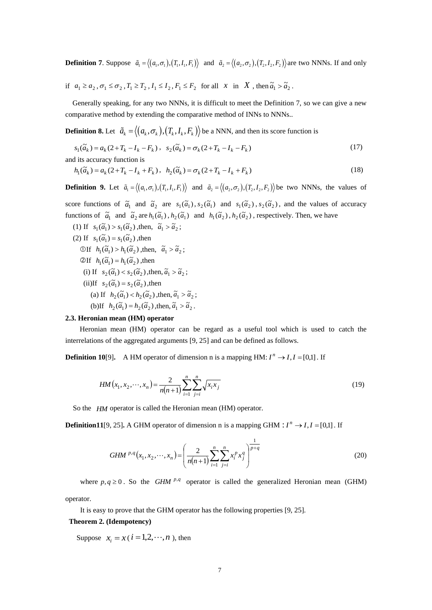**Definition 7.** Suppose  $\tilde{a}_1 = \langle (a_1, \sigma_1), (T_1, I_1, F_1) \rangle$  and  $\tilde{a}_2 = \langle (a_2, \sigma_2), (T_2, I_2, F_2) \rangle$  are two NNNs. If and only

if  $a_1 \ge a_2$ ,  $\sigma_1 \le \sigma_2$ ,  $T_1 \ge T_2$ ,  $I_1 \le I_2$ ,  $F_1 \le F_2$  for all x in X, then  $\tilde{a}_1 > \tilde{a}_2$ .

 Generally speaking, for any two NNNs, it is difficult to meet the Definition 7, so we can give a new comparative method by extending the comparative method of INNs to NNNs..

**Definition 8.** Let  $\tilde{a}_k = \langle (a_k, \sigma_k), (T_k, I_k, F_k) \rangle$  be a NNN, and then its score function is

$$
s_1(\tilde{a}_k) = a_k(2 + T_k - I_k - F_k), \quad s_2(\tilde{a}_k) = \sigma_k(2 + T_k - I_k - F_k)
$$
\n(17)

and its accuracy function is

$$
h_1(\tilde{a}_k) = a_k (2 + T_k - I_k + F_k), \quad h_2(\tilde{a}_k) = \sigma_k (2 + T_k - I_k + F_k)
$$
\n(18)

**Definition 9.** Let  $\tilde{a}_1 = \langle (a_1, \sigma_1), (T_1, I_1, F_1) \rangle$  and  $\tilde{a}_2 = \langle (a_2, \sigma_2), (T_2, I_2, F_2) \rangle$  be two NNNs, the values of

score functions of  $\tilde{a}_1$  and  $\tilde{a}_2$  are  $s_1(\tilde{a}_1)$ ,  $s_2(\tilde{a}_1)$  and  $s_1(\tilde{a}_2)$ ,  $s_2(\tilde{a}_2)$ , and the values of accuracy functions of  $\tilde{a}_1$  and  $\tilde{a}_2$  are  $h_1(\tilde{a}_1)$ ,  $h_2(\tilde{a}_1)$  and  $h_1(\tilde{a}_2)$ ,  $h_2(\tilde{a}_2)$ , respectively. Then, we have

(1) If  $s_1(\tilde{a}_1) > s_1(\tilde{a}_2)$ , then,  $\tilde{a}_1 > \tilde{a}_2$ ; (2) If  $s_1(\tilde{a}_1) = s_1(\tilde{a}_2)$ , then  $\text{OIf} \quad h_1(\tilde{a}_1) > h_1(\tilde{a}_2) \text{ , then, } \quad \tilde{a}_1 > \tilde{a}_2;$  $\mathcal{Q}$ If  $h_1(\tilde{a}_1) = h_1(\tilde{a}_2)$ , then (i) If  $s_2(\tilde{a}_1) < s_2(\tilde{a}_2)$ , then,  $\tilde{a}_1 > \tilde{a}_2$ ; (ii)If  $s_2(\tilde{a}_1) = s_2(\tilde{a}_2)$ , then (a) If  $h_2(\tilde{a}_1) < h_2(\tilde{a}_2)$ , then,  $\tilde{a}_1 > \tilde{a}_2$ ; (b)If  $h_2(\tilde{a}_1) = h_2(\tilde{a}_2)$ , then,  $\tilde{a}_1 > \tilde{a}_2$ .

### **2.3. Heronian mean (HM) operator**

Heronian mean (HM) operator can be regard as a useful tool which is used to catch the interrelations of the aggregated arguments [9, 25] and can be defined as follows.

**Definition 10**[9]. A HM operator of dimension n is a mapping HM:  $I^n \rightarrow I, I = [0,1]$ . If

$$
HM(x_1, x_2, \cdots, x_n) = \frac{2}{n(n+1)} \sum_{i=1}^n \sum_{j=i}^n \sqrt{x_i x_j}
$$
(19)

So the *HM* operator is called the Heronian mean (HM) operator.

**Definition11**[9, 25]. A GHM operator of dimension n is a mapping GHM :  $I^n \rightarrow I, I = [0,1]$ . If

*GHM* 
$$
^{p,q}(x_1, x_2, \cdots, x_n) = \left(\frac{2}{n(n+1)} \sum_{i=1}^n \sum_{j=i}^n x_i^p x_j^q\right)^{\frac{1}{p+q}}
$$
 (20)

where  $p, q \ge 0$ . So the *GHM*  $^{p,q}$  operator is called the generalized Heronian mean (GHM)

operator.

It is easy to prove that the GHM operator has the following properties [9, 25].

#### **Theorem 2. (Idempotency)**

Suppose  $x_i = x$  ( $i = 1, 2, \dots, n$ ), then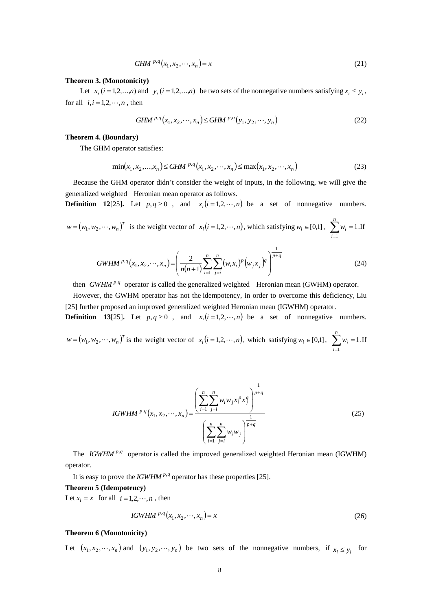*GHM* 
$$
^{p,q}(x_1, x_2, \cdots, x_n) = x
$$
 (21)

#### **Theorem 3. (Monotonicity)**

Let  $x_i$  ( $i = 1,2,...,n$ ) and  $y_i$  ( $i = 1,2,...,n$ ) be two sets of the nonnegative numbers satisfying  $x_i \leq y_i$ , for all  $i, i = 1, 2, \dots, n$ , then

$$
GHM^{p,q}(x_1, x_2, \cdots, x_n) \leq GHM^{p,q}(y_1, y_2, \cdots, y_n)
$$
\n(22)

#### **Theorem 4. (Boundary)**

The GHM operator satisfies:

$$
\min(x_1, x_2, \dots, x_n) \leq \text{GHM}^{p,q}(x_1, x_2, \dots, x_n) \leq \max(x_1, x_2, \dots, x_n)
$$
\n(23)

Because the GHM operator didn't consider the weight of inputs, in the following, we will give the generalized weighted Heronian mean operator as follows.

**Definition 12**[25]. Let  $p, q \ge 0$ , and  $x_i(i=1,2,\dots,n)$  be a set of nonnegative numbers.

$$
w = (w_1, w_2, \dots, w_n)^T
$$
 is the weight vector of  $x_i (i = 1, 2, \dots, n)$ , which satisfying  $w_i \in [0, 1]$ ,  $\sum_{i=1}^n w_i = 1$ . If

$$
GWHM^{p,q}(x_1, x_2, \cdots, x_n) = \left(\frac{2}{n(n+1)} \sum_{i=1}^n \sum_{j=i}^n (w_i x_i)^p (w_j x_j)^q\right)^{\frac{1}{p+q}}
$$
(24)

then *GWHM*<sup> $p,q$ </sup> operator is called the generalized weighted Heronian mean (GWHM) operator.

However, the GWHM operator has not the idempotency, in order to overcome this deficiency, Liu [25] further proposed an improved generalized weighted Heronian mean (IGWHM) operator.

**Definition** 13[25]. Let  $p, q \ge 0$ , and  $x_i(i = 1, 2, \dots, n)$  be a set of nonnegative numbers.

 $w = (w_1, w_2, \dots, w_n)^T$  is the weight vector of  $x_i (i = 1, 2, \dots, n)$ , which satisfying  $w_i \in [0,1]$ ,  $\sum_{i=1}^n w_i =$ *n i wi* 1 1 .If

IGWHM 
$$
^{p,q}(x_1, x_2, \dots, x_n) = \frac{\left(\sum_{i=1}^n \sum_{j=i}^n w_i w_j x_i^p x_j^q\right)^{\frac{1}{p+q}}}{\left(\sum_{i=1}^n \sum_{j=i}^n w_i w_j\right)^{\frac{1}{p+q}}}
$$
 (25)

The *IGWHM*<sup>p,q</sup> operator is called the improved generalized weighted Heronian mean (IGWHM) operator.

It is easy to prove the *IGWHM*  $^{p,q}$  operator has these properties [25].

### **Theorem 5 (Idempotency)**

Let  $x_i = x$  for all  $i = 1, 2, \dots, n$ , then

IGWHM 
$$
^{p,q}(x_1, x_2, \cdots, x_n) = x
$$
 (26)

#### **Theorem 6 (Monotonicity)**

Let  $(x_1, x_2, \dots, x_n)$  and  $(y_1, y_2, \dots, y_n)$  be two sets of the nonnegative numbers, if  $x_i \leq y_i$  for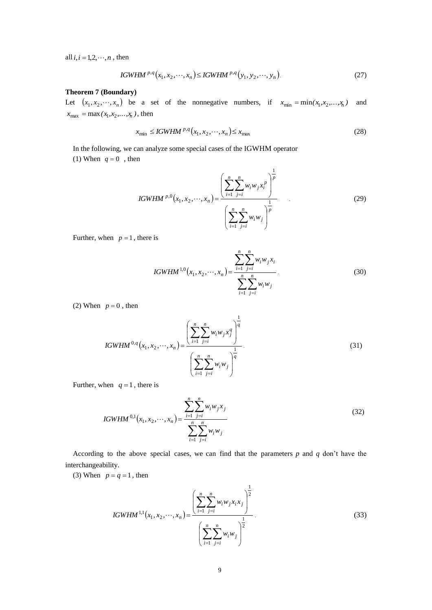all  $i, i = 1, 2, \dots, n$ , then

IGWHM <sup>p,q</sup>(x<sub>1</sub>, x<sub>2</sub>,...,x<sub>n</sub>) 
$$
\leq
$$
 IGWHM <sup>p,q</sup>(y<sub>1</sub>, y<sub>2</sub>,...,y<sub>n</sub>). (27)

### **Theorem 7 (Boundary)**

Let  $(x_1, x_2, \dots, x_n)$  be a set of the nonnegative numbers, if  $x_{\min} = \min(x_1, x_2, \dots, x_n)$  and  $x_{\text{max}} = \max(x_1, x_2, ..., x_n)$ , then

$$
x_{\min} \leq \textit{IGWHM}^{p,q}(x_1, x_2, \cdots, x_n) \leq x_{\max} \tag{28}
$$

In the following, we can analyze some special cases of the IGWHM operator

(1) When  $q = 0$ , then

IGWHM 
$$
^{p,0}(x_1, x_2, \dots, x_n) = \frac{\left(\sum_{i=1}^n \sum_{j=i}^n w_i w_j x_i^p\right)^{\frac{1}{p}}}{\left(\sum_{i=1}^n \sum_{j=i}^n w_i w_j\right)^{\frac{1}{p}}}
$$
 (29)

Further, when  $p = 1$ , there is

IGWHM<sup>1,0</sup>(x<sub>1</sub>, x<sub>2</sub>,...,x<sub>n</sub>) = 
$$
\frac{\sum_{i=1}^{n} \sum_{j=i}^{n} w_i w_j x_i}{\sum_{i=1}^{n} \sum_{j=i}^{n} w_i w_j}.
$$
 (30)

(2) When  $p = 0$ , then

IGWHM<sup>0,q</sup>(x<sub>1</sub>, x<sub>2</sub>,...,x<sub>n</sub>) = 
$$
\frac{\left(\sum_{i=1}^{n} \sum_{j=i}^{n} w_i w_j x_j^q\right)^{\frac{1}{q}}}{\left(\sum_{i=1}^{n} \sum_{j=i}^{n} w_i w_j\right)^{\frac{1}{q}}}.
$$
(31)

1

Further, when  $q = 1$ , there is

IGWHM<sup>0,1</sup>(x<sub>1</sub>, x<sub>2</sub>,..., x<sub>n</sub>) = 
$$
\frac{\sum_{i=1}^{n} \sum_{j=i}^{n} w_i w_j x_j}{\sum_{i=1}^{n} \sum_{j=i}^{n} w_i w_j}
$$
(32)

According to the above special cases, we can find that the parameters *p* and *q* don't have the interchangeability.

(3) When  $p = q = 1$ , then

IGWHM<sup>1,1</sup>(x<sub>1</sub>, x<sub>2</sub>,...,x<sub>n</sub>) = 
$$
\frac{\left(\sum_{i=1}^{n} \sum_{j=i}^{n} w_i w_j x_i x_j\right)^{\frac{1}{2}}}{\left(\sum_{i=1}^{n} \sum_{j=i}^{n} w_i w_j\right)^{\frac{1}{2}}}.
$$
(33)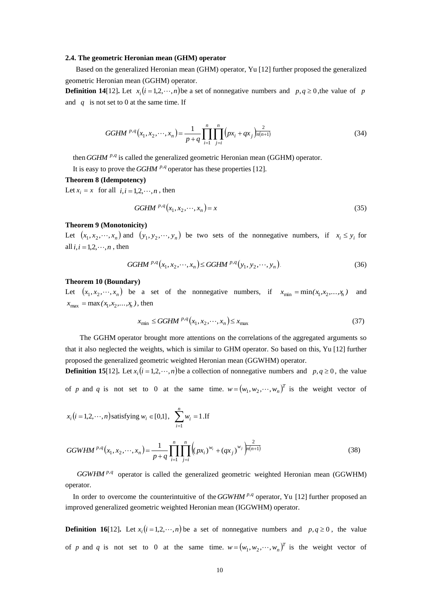#### **2.4. The geometric Heronian mean (GHM) operator**

Based on the generalized Heronian mean (GHM) operator, Yu [12] further proposed the generalized geometric Heronian mean (GGHM) operator.

**Definition 14**[12]. Let  $x_i$  ( $i = 1, 2, \dots, n$ ) be a set of nonnegative numbers and  $p, q \ge 0$ , the value of p and  $q$  is not set to 0 at the same time. If

GGHM 
$$
^{p,q}(x_1, x_2, \cdots, x_n) = \frac{1}{p+q} \prod_{i=1}^n \prod_{j=i}^n (px_i + qx_j)^{\frac{2}{n(n+1)}}
$$
 (34)

then *GGHM* <sup>p,q</sup> is called the generalized geometric Heronian mean (GGHM) operator.

It is easy to prove the *GGHM*  $^{p,q}$  operator has these properties [12].

#### **Theorem 8 (Idempotency)**

Let  $x_i = x$  for all  $i, i = 1, 2, \dots, n$ , then

$$
GGHM^{p,q}(x_1, x_2, \cdots, x_n) = x \tag{35}
$$

### **Theorem 9 (Monotonicity)**

Let  $(x_1, x_2, \dots, x_n)$  and  $(y_1, y_2, \dots, y_n)$  be two sets of the nonnegative numbers, if  $x_i \leq y_i$  for all  $i, i = 1, 2, \dots, n$ , then

GGHM 
$$
^{p,q}(x_1, x_2, \cdots, x_n) \leq G\left(\frac{p}{q}, y_1, y_2, \cdots, y_n\right)
$$
. (36)

#### **Theorem 10 (Boundary)**

Let  $(x_1, x_2, \dots, x_n)$  be a set of the nonnegative numbers, if  $x_{\min} = \min(x_1, x_2, \dots, x_n)$  and  $x_{\text{max}} = \max(x_1, x_2, ..., x_n)$ , then

$$
x_{\min} \le G G H M^{p,q}(x_1, x_2, \cdots, x_n) \le x_{\max} \tag{37}
$$

The GGHM operator brought more attentions on the correlations of the aggregated arguments so that it also neglected the weights, which is similar to GHM operator. So based on this, Yu [12] further proposed the generalized geometric weighted Heronian mean (GGWHM) operator.

**Definition 15**[12]. Let  $x_i$  ( $i = 1, 2, \dots, n$ ) be a collection of nonnegative numbers and  $p, q \ge 0$ , the value of p and q is not set to 0 at the same time.  $w = (w_1, w_2, \dots, w_n)^T$  is the weight vector of

$$
x_i (i = 1, 2, \dots, n)
$$
 satisfying  $w_i \in [0,1]$ ,  $\sum_{i=1}^{n} w_i = 1$ . If

GGWHM <sup>p,q</sup>(x<sub>1</sub>, x<sub>2</sub>,...,x<sub>n</sub>) = 
$$
\frac{1}{p+q} \prod_{i=1}^{n} \prod_{j=i}^{n} \left( (px_i)^{w_i} + (qx_j)^{w_j} \right)^{\frac{2}{n(n+1)}}
$$
(38)

*GGWHM*<sup>p,q</sup> operator is called the generalized geometric weighted Heronian mean (GGWHM) operator.

In order to overcome the counterintuitive of the *GGWHM*  $P$ , *q* operator, Yu [12] further proposed an improved generalized geometric weighted Heronian mean (IGGWHM) operator.

**Definition 16**[12]. Let  $x_i$  ( $i = 1,2,\dots,n$ ) be a set of nonnegative numbers and  $p, q \ge 0$ , the value of *p* and *q* is not set to 0 at the same time.  $w = (w_1, w_2, \dots, w_n)^T$  is the weight vector of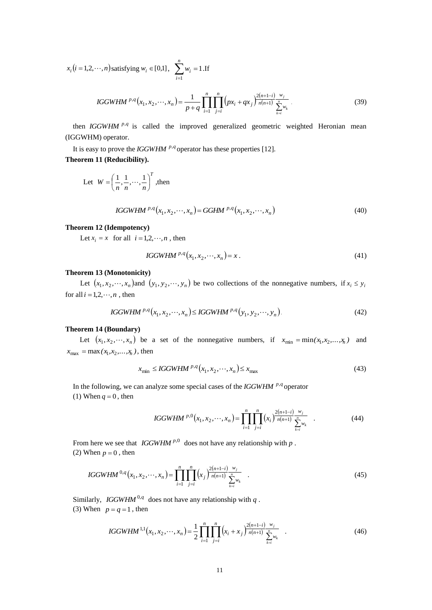$x_i (i = 1, 2, \dots, n)$  satisfying  $w_i \in [0,1]$ ,  $\sum_{i=1}^{n} w_i =$ *n i wi* 1 1 .If

IGGWHM <sup>p,q</sup>(x<sub>1</sub>, x<sub>2</sub>,...,x<sub>n</sub>) = 
$$
\frac{1}{p+q} \prod_{i=1}^{n} \prod_{j=i}^{n} (px_i + qx_j)^{\frac{2(n+1-i)}{n(n+1)} \sum_{k=i}^{w_j} y_k}.
$$
 (39)

then *IGGWHM* <sup>p,q</sup> is called the improved generalized geometric weighted Heronian mean (IGGWHM) operator.

It is easy to prove the *IGGWHM*  $^{p,q}$  operator has these properties [12]. **Theorem 11 (Reducibility).**

Let 
$$
W = \left(\frac{1}{n}, \frac{1}{n}, \dots, \frac{1}{n}\right)^T
$$
, then

 *<sup>n</sup> p q n p q IGGWHM x* , *x* , , *x GGHM x* , *x* , , *x* <sup>1</sup> <sup>2</sup> , 1 2 , (40)

#### **Theorem 12 (Idempotency)**

Let  $x_i = x$  for all  $i = 1, 2, \dots, n$ , then

IGGWHM 
$$
P \cdot q(x_1, x_2, \cdots, x_n) = x.
$$
 (41)

## **Theorem 13 (Monotonicity)**

Let  $(x_1, x_2, \dots, x_n)$  and  $(y_1, y_2, \dots, y_n)$  be two collections of the nonnegative numbers, if  $x_i \leq y_i$ for all  $i = 1, 2, \dots, n$ , then

IGGWHM 
$$
^{p,q}(x_1, x_2, \cdots, x_n) \leq IGGWHM^{p,q}(y_1, y_2, \cdots, y_n)
$$
. (42)

### **Theorem 14 (Boundary)**

Let  $(x_1, x_2, \dots, x_n)$  be a set of the nonnegative numbers, if  $x_{\min} = \min(x_1, x_2, \dots, x_n)$  and  $x_{\text{max}} = \max(x_1, x_2, ..., x_n)$ , then

$$
x_{\min} \leq IGGWHM^{p,q}(x_1, x_2, \cdots, x_n) \leq x_{\max} \tag{43}
$$

In the following, we can analyze some special cases of the *IGGWHM* <sup>p,q</sup> operator  $(1)$  When  $q = 0$ , then

IGGWHM <sup>p,0</sup> 
$$
(x_1, x_2, \dots, x_n)
$$
 = 
$$
\prod_{i=1}^{n} \prod_{j=i}^{n} (x_i)^{\frac{2(n+1-i)}{n(n+1)}} \frac{w_j}{\sum_{k=i}^{n} w_k}
$$
 (44)

From here we see that *IGGWHM*<sup> $p,0$ </sup> does not have any relationship with  $p$ . (2) When  $p = 0$ , then

IGGWHM<sup>0,q</sup>(x<sub>1</sub>, x<sub>2</sub>,...,x<sub>n</sub>) = 
$$
\prod_{i=1}^{n} \prod_{j=i}^{n} (x_{j})^{\frac{2(n+1-i)}{n(n+1)}} \frac{w_{j}}{\sum_{k=i}^{n} w_{k}}
$$
 (45)

Similarly, *IGGWHM* <sup>0,q</sup> does not have any relationship with *q*. (3) When  $p = q = 1$ , then

IGGWHM<sup>1,1</sup>(x<sub>1</sub>, x<sub>2</sub>,...,x<sub>n</sub>) = 
$$
\frac{1}{2} \prod_{i=1}^{n} \prod_{j=i}^{n} (x_i + x_j)^{\frac{2(n+1-i)}{n(n+1)}} \frac{w_j}{\sum_{k=i}^{n} w_k}.
$$
 (46)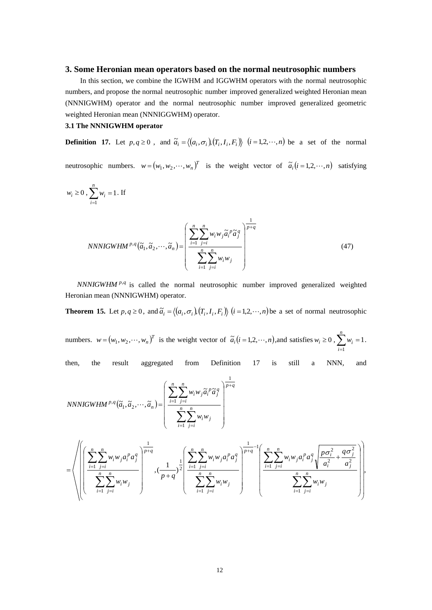## **3. Some Heronian mean operators based on the normal neutrosophic numbers**

 In this section, we combine the IGWHM and IGGWHM operators with the normal neutrosophic numbers, and propose the normal neutrosophic number improved generalized weighted Heronian mean (NNNIGWHM) operator and the normal neutrosophic number improved generalized geometric weighted Heronian mean (NNNIGGWHM) operator.

## **3.1 The NNNIGWHM operator**

**Definition 17.** Let  $p, q \ge 0$ , and  $\tilde{a}_i = \langle (a_i, \sigma_i), (T_i, I_i, F_i) \rangle$   $(i = 1, 2, \dots, n)$  be a set of the normal

neutrosophic numbers.  $w = (w_1, w_2, \dots, w_n)^T$  is the weight vector of  $\tilde{a}_i (i = 1, 2, \dots, n)$  satisfying

$$
w_i \ge 0
$$
,  $\sum_{i=1}^n w_i = 1$ . If

NNNIGWHM<sup>p,q</sup>(
$$
\tilde{a}_1
$$
,  $\tilde{a}_2$ ,..., $\tilde{a}_n$ ) = 
$$
\left(\frac{\sum_{i=1}^n \sum_{j=i}^n w_i w_j \tilde{a}_i^p \tilde{a}_j^q}{\sum_{i=1}^n \sum_{j=i}^n w_i w_j}\right)^{\frac{1}{p+q}}
$$
(47)

*NNNIGWHM* <sup>p,q</sup> is called the normal neutrosophic number improved generalized weighted Heronian mean (NNNIGWHM) operator.

**Theorem 15.** Let  $p, q \ge 0$ , and  $\tilde{a}_i = \langle (a_i, \sigma_i), (T_i, I_i, F_i) \rangle$   $(i = 1, 2, \dots, n)$  be a set of normal neutrosophic

numbers.  $w = (w_1, w_2, \dots, w_n)^T$  is the weight vector of  $\tilde{a}_i (i = 1, 2, \dots, n)$ , and satisfies  $w_i \ge 0$ ,  $\sum_{i=1}^{n} w_i =$ *n i wi* 1 1.

then, the result aggregated from Definition 17 is still a NNN, and

NNNIGWHM<sup>p,q</sup>(
$$
\tilde{a}_1
$$
,  $\tilde{a}_2$ ,..., $\tilde{a}_n$ ) = 
$$
\left(\frac{\sum_{i=1}^{n} \sum_{j=i}^{n} w_i w_j \tilde{a}_i^p \tilde{a}_j^q}{\sum_{i=1}^{n} \sum_{j=i}^{n} w_i w_j}\right)^{\frac{1}{p+q}}
$$

$$
= \left\langle \left(\left(\frac{\displaystyle\sum_{i=1}^{n}\sum_{j=i}^{n}w_{i}w_{j}a_{i}^{p}a_{j}^{q}}{\displaystyle\sum_{i=1}^{n}\sum_{j=i}^{n}w_{i}w_{j}}\right)^{\frac{1}{p+q}}, \frac{1}{(p+q)^{2}}\left(\frac{\displaystyle\sum_{i=1}^{n}\sum_{j=i}^{n}w_{i}w_{j}a_{i}^{p}a_{j}^{q}}{\displaystyle\sum_{i=1}^{n}\sum_{j=i}^{n}w_{i}w_{j}}\right)^{\frac{1}{p+q}-1}\left(\frac{\displaystyle\sum_{i=1}^{n}\sum_{j=i}^{n}w_{i}w_{j}a_{i}^{p}a_{j}^{q}}{a_{i}^{2}}\sqrt{\frac{p\sigma_{i}^{2}}{a_{i}^{2}}+\frac{q\sigma_{j}^{2}}{a_{j}^{2}}}\right)\right\rangle
$$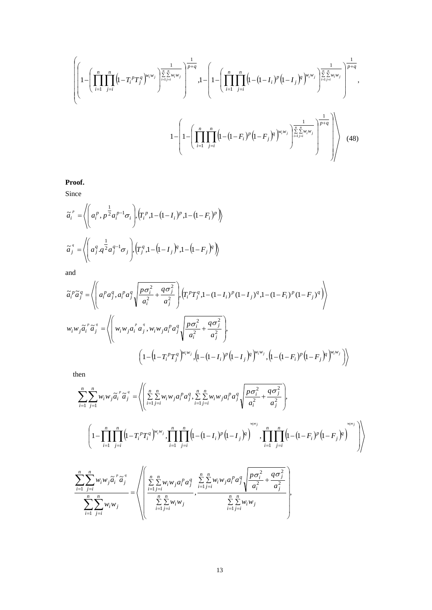$$
\left\{\left(1-\left(\prod_{i=1}^{n}\prod_{j=i}^{n}\left(1-T_{i}^{p}T_{j}^{q}\right)^{w_{i}w_{j}}\right)^{\frac{1}{\sum_{i=1}^{n}\sum_{j=i}^{n}w_{i}w_{j}}\right)^{\frac{1}{p+q}},1-\left(1-\left(\prod_{i=1}^{n}\prod_{j=i}^{n}\left(1-(1-I_{i})^{p}\left(1-I_{j}\right)^{q}\right)^{w_{i}w_{j}}\right)^{\frac{1}{\sum_{i=1}^{n}\sum_{j=i}^{n}w_{i}w_{j}}\right)^{\frac{1}{p+q}},1-\left(1-\left(\prod_{i=1}^{n}\prod_{j=i}^{n}\left(1-(1-F_{i})^{p}\left(1-F_{j}\right)^{q}\right)^{w_{i}w_{j}}\right)^{\frac{1}{\sum_{i=1}^{n}\sum_{j=i}^{n}w_{i}w_{j}}\right)^{\frac{1}{p+q}}\right\}\right\}
$$
\n
$$
1-\left(1-\left(\prod_{i=1}^{n}\prod_{j=i}^{n}\left(1-(1-F_{i})^{p}\left(1-F_{j}\right)^{q}\right)^{w_{i}w_{j}}\right)^{\frac{1}{\sum_{i=1}^{n}\sum_{j=i}^{n}w_{i}w_{j}}\right)^{\frac{1}{p+q}}\right)\right\}\tag{48}
$$

**Proof.**

Since

$$
\widetilde{a}_{i}^{p} = \left\langle \left( a_{i}^{p}, p^{\frac{1}{2}} a_{i}^{p-1} \sigma_{i} \right) , \left( T_{i}^{p}, 1 - (1 - I_{i})^{p}, 1 - (1 - F_{i})^{p} \right) \right\rangle
$$

$$
\widetilde{a}_{j}^{q} = \left\langle \left( a_{j}^{q}, q^{\frac{1}{2}} a_{j}^{q-1} \sigma_{j} \right) , \left( T_{j}^{q}, 1 - (1 - I_{j})^{q}, 1 - (1 - F_{j})^{q} \right) \right\rangle
$$

and

$$
\tilde{a}_{i}^{p} \tilde{a}_{j}^{q} = \left\langle \left( a_{i}^{p} a_{j}^{q}, a_{i}^{p} a_{j}^{q} \sqrt{\frac{p \sigma_{i}^{2}}{a_{i}^{2}} + \frac{q \sigma_{j}^{2}}{a_{j}^{2}}} \right) , \left( T_{i}^{p} T_{j}^{q}, 1 - (1 - I_{i})^{p} (1 - I_{j})^{q}, 1 - (1 - F_{i})^{p} (1 - F_{j})^{q} \right) \right\rangle
$$
\n
$$
w_{i} w_{j} \tilde{a}_{i}^{p} \tilde{a}_{j}^{q} = \left\langle \left( w_{i} w_{j} a_{i}^{p} a_{j}^{q}, w_{i} w_{j} a_{i}^{p} a_{j}^{q} \sqrt{\frac{p \sigma_{i}^{2}}{a_{i}^{2}} + \frac{q \sigma_{j}^{2}}{a_{j}^{2}}} \right) , \left( 1 - (1 - T_{i})^{p} (1 - I_{j})^{q} \right) \right\rangle
$$
\n
$$
\left( 1 - (1 - T_{i}^{p} T_{j}^{q})^{w_{i} w_{j}}, \left( 1 - (1 - I_{i})^{p} (1 - I_{j})^{q} \right) \right) \left\langle \left( 1 - (1 - T_{i})^{p} (1 - I_{j})^{q} \right) \right\rangle
$$

then

$$
\sum_{i=1}^{n} \sum_{j=1}^{n} w_{i}w_{j}\tilde{a}_{i}^{p} \tilde{a}_{j}^{q} = \left\langle \left( \sum_{i=1}^{n} \sum_{j=i}^{n} w_{i}w_{j}a_{i}^{p}a_{j}^{q}, \sum_{i=1}^{n} \sum_{j=i}^{n} w_{i}w_{j}a_{i}^{p}a_{j}^{q} \sqrt{\frac{p\sigma_{i}^{2}}{a_{i}^{2}} + \frac{q\sigma_{j}^{2}}{a_{j}^{2}}}\right),
$$
\n
$$
\left(1 - \prod_{i=1}^{n} \prod_{j=i}^{n} \left(1 - T_{i}^{p}T_{i}^{q}\right)^{w_{i}w_{j}}, \prod_{i=1}^{n} \prod_{j=i}^{n} \left(1 - \left(1 - I_{i}\right)^{p} \left(1 - I_{j}\right)^{q}\right)^{w_{i}w_{j}}, \prod_{i=1}^{n} \prod_{j=i}^{n} \left(1 - \left(1 - F_{i}\right)^{p} \left(1 - F_{j}\right)^{q}\right)^{w_{i}w_{j}}\right)\right\rangle
$$
\n
$$
\sum_{i=1}^{n} \sum_{j=i}^{n} w_{i}w_{j}\tilde{a}_{i}^{p} \tilde{a}_{j}^{q} = \left\langle \left( \sum_{i=1}^{n} \sum_{j=i}^{n} w_{i}w_{j}a_{i}^{p}a_{j}^{q}, \sum_{i=1}^{n} \sum_{j=i}^{n} w_{i}w_{j}a_{i}^{p}a_{j}^{q}\sqrt{\frac{p\sigma_{i}^{2}}{a_{i}^{2}} + \frac{q\sigma_{j}^{2}}{a_{j}^{2}}}\right), \sum_{i=1}^{n} \sum_{j=i}^{n} w_{i}w_{j}
$$
\n
$$
\sum_{i=1}^{n} \sum_{j=i}^{n} w_{i}w_{j}
$$
\n
$$
\left(\sum_{i=1}^{n} \sum_{j=i}^{n} w_{i}w_{j}\right)^{w_{i}w_{j}}
$$
\n
$$
\left(\sum_{i=1}^{n} \sum_{j=i}^{n} w_{i}w_{j}\right)^{w_{i}w_{j}}
$$
\n
$$
\left(\sum_{i=1}^{n} \sum_{j=i}^{n} w
$$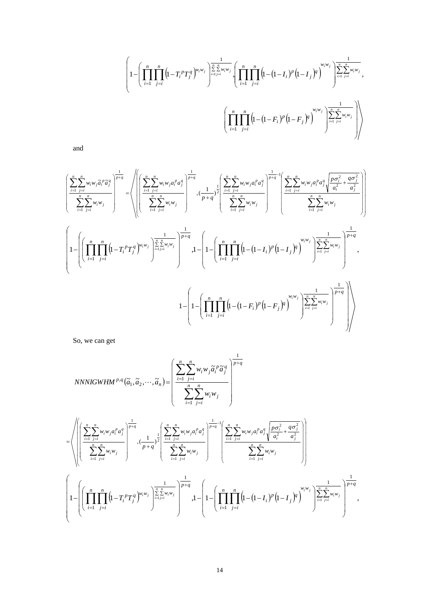$$
\left(1-\left(\prod_{i=1}^{n}\prod_{j=i}^{n}\left(1-T_{i}^{p}T_{j}^{q}\right)^{w_{i}w_{j}}\right)^{\frac{1}{\sum_{i=1}^{n}\sum_{j=i}^{n}w_{i}w_{j}}\left\{\prod_{i=1}^{n}\prod_{j=i}^{n}\left(1-(1-I_{i})^{p}\left(1-I_{j}\right)^{q}\right)^{w_{i}w_{j}}\right\}_{i=1}^{\frac{1}{\sum_{i=1}^{n}\sum_{j=i}^{n}w_{i}w_{j}}},\newline\left(\prod_{i=1}^{n}\prod_{j=i}^{n}\left(1-(1-F_{i})^{p}\left(1-F_{j}\right)^{q}\right)^{w_{i}w_{j}}\right)^{\frac{1}{\sum_{i=1}^{n}\sum_{j=i}^{n}w_{i}w_{j}}}\right)\right)
$$

and

$$
\left(\frac{\sum\limits_{i=1}^{n}\sum\limits_{j=i}^{n}w_{i}w_{j}\tilde{a}_{i}^{p}\tilde{a}_{j}^{q}}{\sum\limits_{i=1}^{n}\sum\limits_{j=i}^{n}w_{i}w_{j}}\right)^{\frac{1}{p+q}}=\left\langle\left(\left(\frac{\sum\limits_{i=1}^{n}\sum\limits_{j=i}^{n}w_{i}w_{j}a_{i}^{p}a_{j}^{q}}{\sum\limits_{i=1}^{n}\sum\limits_{j=i}^{n}w_{i}w_{j}}\right)^{\frac{1}{p+q}}\right)^{\frac{1}{p+q}}\cdot\frac{1}{(p+q^{2}}\right)^{\frac{1}{2}}\left(\frac{\sum\limits_{i=1}^{n}\sum\limits_{j=i}^{n}w_{i}w_{j}a_{i}^{p}a_{j}^{q}}{\sum\limits_{i=1}^{n}\sum\limits_{j=i}^{n}w_{i}w_{j}}\right)^{\frac{1}{p+q}}\right\langle\left(\frac{1}{p+q^{2}}\right)^{\frac{1}{2}}\left(\frac{\sum\limits_{i=1}^{n}\sum\limits_{j=i}^{n}w_{i}w_{j}}{\sum\limits_{i=1}^{n}\sum\limits_{j=i}^{n}w_{i}w_{j}}\right)^{\frac{1}{p+q}}\right\rangle
$$
\n
$$
1-\left(\left(\prod_{i=1}^{n}\prod_{j=i}^{n}\left(1-T_{i}^{p}T_{j}^{q}\right)^{w_{i}w_{j}}\right)^{\frac{1}{\sum\limits_{i=1}^{n}\sum\limits_{j=i}^{n}w_{i}w_{j}}\right)^{\frac{1}{p+q}}\cdot1-\left(1-\left(\prod_{i=1}^{n}\prod_{j=i}^{n}\left(1-(1-I_{i})^{p}\left(1-I_{j}\right)^{q}\right)^{\frac{1}{w}}\right)^{\frac{1}{\sum\limits_{i=1}^{n}\sum\limits_{j=i}^{n}w_{i}w_{j}}\right)^{\frac{1}{\sum\limits_{i=1}^{n}\sum\limits_{j=i}^{n}w_{i}w_{j}}\right)^{\frac{1}{\sum\limits_{i=1}^{n}\sum\limits_{j=i}^{n}w_{i}w_{j}}\right)^{\frac{1}{\sum\limits_{i=1}^{n}\sum\limits_{j=i}^{n}w_{i}w_{j}}\right\}
$$

So, we can get

NNNIGWHM<sup>p,q</sup>(
$$
\tilde{a}_1, \tilde{a}_2, \dots, \tilde{a}_n
$$
) = 
$$
\left(\frac{\sum_{i=1}^{n} \sum_{j=i}^{n} w_i w_j \tilde{a}_i^p \tilde{a}_j^q}{\sum_{i=1}^{n} \sum_{j=i}^{n} w_i w_j}\right)^{\frac{1}{p+q}}
$$

$$
= \left\langle \left(\left[\sum_{i=1}^{n}\sum_{j=i}^{n}w_{i}w_{j}a_{i}^{p}a_{j}^{q}\right]^{\frac{1}{p+q}}\right], \frac{1}{(1-i)^{2}}\left[\sum_{i=1}^{n}\sum_{j=i}^{n}w_{i}w_{j}a_{i}^{p}a_{j}^{q}\right]^{\frac{1}{p+q}-1}\left(\sum_{i=1}^{n}\sum_{j=i}^{n}w_{i}w_{j}a_{i}^{p}a_{j}^{q}\sqrt{\frac{p\sigma_{i}^{2}}{a_{i}^{2}}+\frac{q\sigma_{j}^{2}}{a_{j}^{2}}}\right)^{1}\right\langle\left(\sum_{i=1}^{n}\sum_{j=i}^{n}w_{i}w_{j}\right)^{\frac{1}{2}}\left(\sum_{i=1}^{n}\sum_{j=i}^{n}w_{i}w_{j}\right)^{\frac{1}{p+q}-1}\left(\sum_{i=1}^{n}\sum_{j=i}^{n}w_{i}w_{j}a_{i}^{p}a_{j}^{q}\sqrt{\frac{p\sigma_{i}^{2}}{a_{i}^{2}}+\frac{q\sigma_{j}^{2}}{a_{j}^{2}}}\right)\right)\right\}
$$
\n
$$
1-\left(\left(\prod_{i=1}^{n}\prod_{j=i}^{n}\left(1-T_{i}^{p}T_{j}^{q}\right)^{w_{i}w_{j}}\right)^{\frac{1}{\sum_{i=1}^{n}w_{i}w_{j}}}\right)^{\frac{1}{p+q}}, 1-\left(1-\left(\prod_{i=1}^{n}\prod_{j=i}^{n}\left(1-(1-I_{i})^{p}\left(1-I_{j}\right)^{q}\right)^{\frac{1}{w_{i}w_{j}}}\right)^{\frac{1}{\sum_{i=1}^{n}w_{i}w_{j}}}\right)^{\frac{1}{p+q}},
$$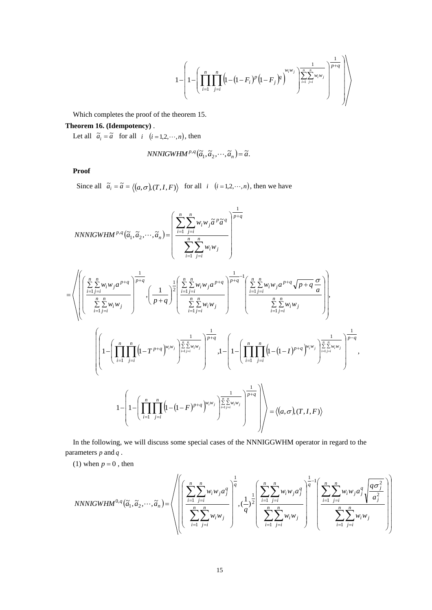$$
1-\left(1-\left(\prod_{i=1}^n\prod_{j=i}^n\left(\!\!1\!-\!\left(\!1\!-\!F_i\right)^p\left(\!1\!-\!F_j\right)^{\!q}\right)^{\!\!w_iw_j}\right)^{\!\!\frac{1}{\sum\limits_{i=1}^n\sum\limits_{j=i}^n\!w_iw_j}}\right)^{\!\!\frac{1}{p+q}}\right)\!\right)
$$

Which completes the proof of the theorem 15.

# **Theorem 16. (Idempotency)** .

Let all  $\tilde{a}_i = \tilde{a}$  for all  $i \ (i = 1, 2, \dots, n)$ , then

$$
NNNIGWHM^{p,q}(\tilde{a}_1, \tilde{a}_2, \cdots, \tilde{a}_n) = \tilde{a}.
$$

**Proof**

Since all  $\tilde{a}_i = \tilde{a} = \langle (a, \sigma), (T, I, F) \rangle$  for all *i*  $(i = 1, 2, \dots, n)$ , then we have

$$
NNNIGWHM^{p,q}(\tilde{a}_{1}, \tilde{a}_{2},..., \tilde{a}_{n}) = \left( \frac{\sum_{i=1}^{n} \sum_{j=i}^{n} w_{i}w_{j} \tilde{a}^{p} \tilde{a}^{q}}{\sum_{i=1}^{n} \sum_{j=i}^{n} w_{i}w_{j}} \right)^{\frac{1}{p+q}}
$$
\n
$$
= \left( \left( \frac{\sum_{i=1}^{n} w_{i}w_{j}a^{p+q}}{\sum_{i=1}^{n} \sum_{j=i}^{n} w_{i}w_{j}} \right)^{\frac{1}{p+q}} \cdot \left( \frac{1}{p+q} \right)^{\frac{1}{2}} \left( \frac{\sum_{i=1}^{n} \sum_{j=i}^{n} w_{i}w_{j}a^{p+q}}{\sum_{i=1}^{n} \sum_{j=i}^{n} w_{i}w_{j}} \right)^{\frac{1}{p+q-1}} \left( \frac{\sum_{i=1}^{n} \sum_{j=i}^{n} w_{i}w_{j}a^{p+q} \sqrt{p+q} \frac{\sigma}{a}}{\sum_{i=1}^{n} \sum_{j=i}^{n} w_{i}w_{j}} \right) \right),
$$
\n
$$
\left( \left( 1 - \left( \prod_{i=1}^{n} \prod_{j=i}^{n} \left( 1 - T^{p+q} \right)^{w_{i}w_{j}} \right)^{\frac{1}{\sum_{i=1}^{n} \sum_{j=i}^{n} w_{i}w_{j}} \right)^{\frac{1}{p+q}} \cdot 1 - \left( 1 - \left( \prod_{i=1}^{n} \prod_{j=i}^{n} \left( 1 - (1-I)^{p+q} \right)^{w_{i}w_{j}} \right)^{\frac{1}{\sum_{i=1}^{n} \sum_{j=i}^{n} w_{j}w_{j}} \right)^{\frac{1}{p-q}} \cdot 1 - \left( 1 - \left( \prod_{i=1}^{n} \prod_{j=i}^{n} \left( 1 - (1-F)^{p+q} \right)^{w_{i}w_{j}} \right)^{\frac{1}{\sum_{i=1}^{n} \sum_{j=i}^{n} w_{j}w_{j}} \right)^{\frac{1}{p+q}} \right) \right) \right) = \left\langle (a, \sigma), (T, I, F) \right\rangle
$$

In the following, we will discuss some special cases of the NNNIGGWHM operator in regard to the parameters *p* and *q*.

(1) when  $p = 0$ , then

$$
NNNIGWHM^{0,q}(\tilde{a}_1, \tilde{a}_2, \cdots, \tilde{a}_n) = \sqrt{\left(\left(\frac{\sum_{i=1}^n \sum_{j=i}^n w_i w_j a_j^q}{\sum_{i=1}^n \sum_{j=i}^n w_i w_j}\right)^{\frac{1}{q}}, \frac{1}{q}\right)^{\frac{1}{q}} \cdot \left(\frac{1}{q}\right)^{\frac{1}{2}} \left(\frac{\sum_{i=1}^n \sum_{j=i}^n w_i w_j a_j^q}{\sum_{i=1}^n \sum_{j=i}^n w_i w_j}\right)^{\frac{1}{q}-1} \left(\frac{\sum_{i=1}^n \sum_{j=i}^n w_i w_j a_j^q \sqrt{\frac{q \sigma_j^2}{a_j^2}}}{\sum_{i=1}^n \sum_{j=i}^n w_i w_j}\right)\right)}
$$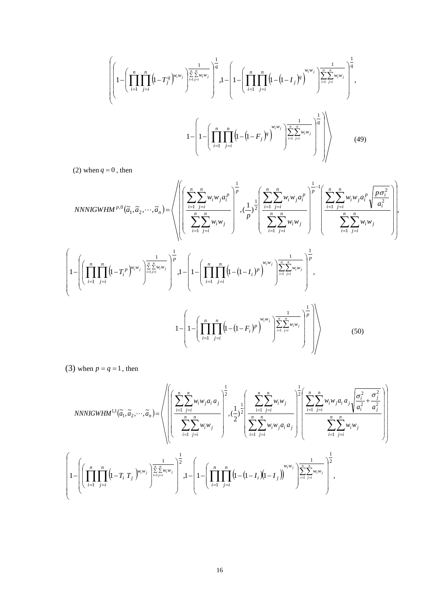$$
\left\{\left(1-\left(\prod_{i=1}^{n}\prod_{j=i}^{n}\left(1-T_{j}^{q}\right)^{w_{i}w_{j}}\right)^{\frac{1}{\sum_{i=1}^{n}\sum_{j=i}^{n}w_{i}w_{j}}\right)^{\frac{1}{q}},1-\left(1-\left(\prod_{i=1}^{n}\prod_{j=i}^{n}\left(1-\left(1-I_{j}\right)^{q}\right)^{w_{i}w_{j}}\right)^{\frac{1}{\sum_{i=1}^{n}\sum_{j=i}^{n}w_{i}w_{j}}\right)^{\frac{1}{q}},1-\left(1-\left(\prod_{i=1}^{n}\prod_{j=i}^{n}\left(1-\left(1-F_{j}\right)^{q}\right)^{w_{i}w_{j}}\right)^{\frac{1}{\sum_{i=1}^{n}\sum_{j=i}^{n}w_{i}w_{j}}\right)^{\frac{1}{q}}\right\},\right\}
$$
\n
$$
1-\left(1-\left(\prod_{i=1}^{n}\prod_{j=i}^{n}\left(1-\left(1-F_{j}\right)^{q}\right)^{w_{i}w_{j}}\right)^{\frac{1}{\sum_{i=1}^{n}\sum_{j=i}^{n}w_{i}w_{j}}\right)^{\frac{1}{q}}\right)\right\}
$$
\n
$$
(49)
$$

(2) when  $q = 0$ , then

$$
NNNIGWHM^{p,0}(\tilde{a}_{1},\tilde{a}_{2},\cdots,\tilde{a}_{n}) = \left\langle \left( \left( \frac{\sum_{i=1}^{n} \sum_{j=i}^{n} w_{i}w_{j}a_{i}^{p}}{\sum_{i=1}^{n} \sum_{j=i}^{n} w_{i}w_{j}} \right)^{\frac{1}{p}} , \left( \frac{1}{p} \right)^{1}_{2} \left( \frac{\sum_{i=1}^{n} \sum_{j=i}^{n} w_{i}w_{j}a_{i}^{p}}{\sum_{i=1}^{n} \sum_{j=i}^{n} w_{i}w_{j}} \right)^{\frac{1}{p-1}} \left( \frac{\sum_{i=1}^{n} \sum_{j=i}^{n} w_{i}w_{j}a_{i}^{p}}{\sum_{i=1}^{n} \sum_{j=i}^{n} w_{i}w_{j}} \right)^{\frac{1}{p}} \right\langle \left( \frac{\sum_{i=1}^{n} \sum_{j=i}^{n} w_{i}w_{j}}{\sum_{i=1}^{n} \sum_{j=i}^{n} w_{i}w_{j}} \right)^{\frac{1}{p}} \right\rangle
$$
\n
$$
1 - \left( \left( \prod_{i=1}^{n} \prod_{j=i}^{n} \left( 1 - (1 - F_{i})^{p} \right)^{w_{i}w_{j}} \right)^{\frac{1}{w-1}} \left( 1 - (1 - F_{i})^{p} \right)^{w_{i}w_{j}} \right)^{\frac{1}{w-1}} \left( 1 - \left( \prod_{i=1}^{n} \prod_{j=i}^{n} \left( 1 - (1 - F_{i})^{p} \right)^{w_{i}w_{j}} \right)^{\frac{1}{w-1}} \right)^{\frac{1}{p}} , \tag{50}
$$

(3) when  $p = q = 1$ , then

$$
NNNIGWHM^{1,1}(\tilde{a}_{1}, \tilde{a}_{2}, \dots, \tilde{a}_{n}) = \sqrt{\left(\left(\sum_{i=1}^{n} \sum_{j=i}^{n} w_{i} w_{j} a_{i} a_{j}\right)^{\frac{1}{2}}, \sum_{i=1}^{1} \sum_{j=i}^{n} w_{i} w_{j}}\right), \sum_{i=1}^{1} \sqrt{\left(\sum_{i=1}^{n} \sum_{j=i}^{n} w_{i} w_{j}}\right)^{\frac{1}{2}} \left(\sum_{i=1}^{n} \sum_{j=i}^{n} w_{i} w_{j} a_{i} a_{j}\right)^{\frac{1}{2}} \left(\sum_{i=1}^{n} \sum_{j=i}^{n} w_{i} w_{j} a_{i} a_{j}\right)^{\frac{1}{2}} \left(\sum_{i=1}^{n} \sum_{j=i}^{n} w_{i} w_{j} a_{i} a_{j}\right)^{\frac{1}{2}} \left(\sum_{i=1}^{n} \sum_{j=i}^{n} w_{i} w_{j} a_{i} a_{j}\right)^{\frac{1}{2}} \left(\sum_{i=1}^{n} \sum_{j=i}^{n} w_{i} w_{j} a_{i} a_{j}\right)^{\frac{1}{2}} \left(\sum_{i=1}^{n} \sum_{j=i}^{n} w_{i} w_{j} a_{i} a_{j}\right)^{\frac{1}{2}} \left(\sum_{i=1}^{n} \sum_{j=i}^{n} w_{i} w_{j} a_{i} a_{j}\right)^{\frac{1}{2}} \left(\sum_{i=1}^{n} \sum_{j=i}^{n} w_{i} w_{j} a_{i} a_{j}\right)^{\frac{1}{2}} \left(\sum_{i=1}^{n} \sum_{j=i}^{n} w_{i} w_{j} a_{i} a_{j}\right)^{\frac{1}{2}} \left(\sum_{i=1}^{n} \sum_{j=i}^{n} w_{i} w_{j} a_{i} a_{j}\right)^{\frac{1}{2}} \left(\sum_{i=1}^{n} \sum_{j=i}^{n} w_{i} w_{j} a_{i} a_{j}\right)^{\frac{1}{2}} \left(\sum_{i=1}^{n} \sum_{j=i}^{n} w_{i} w_{j} a_{i} a_{j}\right)^{\frac{1}{2}} \left(\sum_{i=1}^{n} \sum_{j=i}^{n} w_{i} w_{j} a_{i} a_{j}\right
$$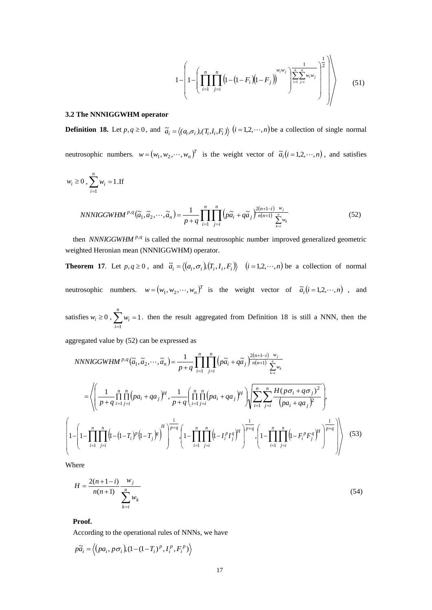$$
1 - \left(1 - \left(\prod_{i=1}^{n} \prod_{j=i}^{n} \left(1 - \left(1 - F_i\right)\left(1 - F_j\right)\right)^{w_i w_j}\right)^{\frac{1}{\sum_{i=1}^{n} \sum_{j=i}^{n} w_i w_j}}\right)^{\frac{1}{2}}\right) \tag{51}
$$

#### **3.2 The NNNIGGWHM operator**

**Definition 18.** Let  $p, q \ge 0$ , and  $\tilde{a}_i = \langle (a_i, \sigma_i), (T_i, I_i, F_i) \rangle$   $(i = 1, 2, \dots, n)$  be a collection of single normal

neutrosophic numbers.  $w = (w_1, w_2, \dots, w_n)^T$  is the weight vector of  $\tilde{a}_i (i = 1, 2, \dots, n)$ , and satisfies

$$
w_i \ge 0, \sum_{i=1}^n w_i = 1. \text{If}
$$
  
*NNNIGGWHM*<sup>*p,q*</sup>( $\tilde{a}_1, \tilde{a}_2, \dots, \tilde{a}_n$ ) =  $\frac{1}{p+q} \prod_{i=1}^n \prod_{j=i}^n \left( p\tilde{a}_i + q\tilde{a}_j \right)^{\frac{2(n+1-i)}{n(n+1)} \sum_{k=i}^n w_k}$  (52)

then *NNNIGGWHM*<sup> $p,q$ </sup> is called the normal neutrosophic number improved generalized geometric weighted Heronian mean (NNNIGGWHM) operator.

**Theorem 17.** Let  $p, q \ge 0$ , and  $\tilde{a}_i = \langle (a_i, \sigma_i), (T_i, I_i, F_i) \rangle$   $(i = 1, 2, \dots, n)$  be a collection of normal neutrosophic numbers.  $w = (w_1, w_2, \dots, w_n)^T$  is the weight vector of  $\tilde{a}_i (i = 1, 2, \dots, n)$ , and

satisfies  $w_i \ge 0$ ,  $\sum_{i=1} w_i =$ *n i wi* 1 1. then the result aggregated from Definition 18 is still a NNN, then the aggregated value by (52) can be expressed as

 $(\widetilde{a}_1, \widetilde{a}_2, \cdots, \widetilde{a}_n) = \frac{1}{p+q} \prod_{i=1}^n \prod_{j=i}^n \left( p \widetilde{a}_i + q \widetilde{a}_j \right)^{\frac{2(n+1-i)}{n(n+1)}}$  $^{+}$  $+1 =\frac{1}{p+q}\prod_{i=1}^{n}\prod_{j=i}\left(p\tilde{a}_i+q\tilde{a}_j\right)\overline{n(n+1)}\sum_{k=i}^{n}$ *n i n*  $\prod_{j=i}^{\infty}$   $\binom{n-i}{i}$   $\prod_{i=1}^{i}$   $\binom{n}{i}$   $\prod_{k=i}^{i}$   $w$ *w n n*  $n+1-i$  $p,q(\tilde{a}_1, \tilde{a}_2, \cdots, \tilde{a}_n) = \frac{1}{n} \prod_{i=1}^n \prod_p (p\tilde{a}_i + q\tilde{a}_j)^{\frac{2(n+1)}{n(n+1)}}$  $\sum_{k=i}^{N_k}$  $NNNIGGWHM^{p,q}(\tilde{a}_1, \tilde{a}_2, \cdots, \tilde{a}_n) = \frac{1}{p+q} \prod_{i=1}^n \prod_{i=1}^n \left( p \tilde{a}_i + q \tilde{a}_j \right)^{\frac{2(n+1-j)}{n(n+1)}} \sum_{i=1}^n p_i$ 1 1  $2(n+1)$  $\mathcal{A}^q(\tilde{a}_1, \tilde{a}_2, \cdots, \tilde{a}_n) = \frac{1}{n+1} \prod_{i=1}^n \left( p \tilde{a}_i + q \tilde{a}_i \right)$  $\left( \prod_{i=1}^{n} \prod_{i=1}^{n} (n a_i + a_i^2) H \right) \left[ \sum_{i=1}^{n} \sum_{i=1}^{n} H (p \sigma_i + q \sigma_j)^2 \right]$  $\int$ ſ *n n n n*

$$
= \left\langle \left( \frac{1}{p+q} \prod_{i=1}^{n} \prod_{j=i}^{n} (pa_i + qa_j)^H, \frac{1}{p+q} \left( \prod_{i=1}^{n} \prod_{j=i}^{n} (pa_i + qa_j)^H \right) \right\rangle \left\langle \sum_{i=1}^{n} \sum_{j=i}^{n} \frac{H(p\sigma_i + q\sigma_j)^2}{(pa_i + qa_j)^2} \right\rangle, \left\langle \sum_{i=1}^{n} \prod_{j=i}^{n} \left( (pq_i + qa_j)^H \right) \right\rangle \right\rangle
$$
\n
$$
\left( 1 - \left( 1 - \prod_{i=1}^{n} \prod_{j=i}^{n} \left( 1 - (1-T_i)^p (1-T_j)^q \right)^H \right)^{\frac{1}{p+q}} \left( 1 - \prod_{i=1}^{n} \prod_{j=i}^{n} \left( 1 - I_i^p I_j^q \right)^H \right)^{\frac{1}{p+q}} \left( 1 - \prod_{i=1}^{n} \prod_{j=i}^{n} \left( 1 - F_i^p F_j^q \right)^H \right)^{\frac{1}{p+q}} \right\rangle \right\rangle \tag{53}
$$

Where

$$
H = \frac{2(n+1-i)}{n(n+1)} \frac{w_j}{\sum_{k=i}^{n} w_k}
$$
 (54)

**Proof.** 

According to the operational rules of NNNs, we have

$$
p\widetilde{a}_i = \left\langle \left(p a_i, p \sigma_i\right) \left(1 - \left(1 - T_i\right)^p, I_i^p, F_i^p\right)\right\rangle
$$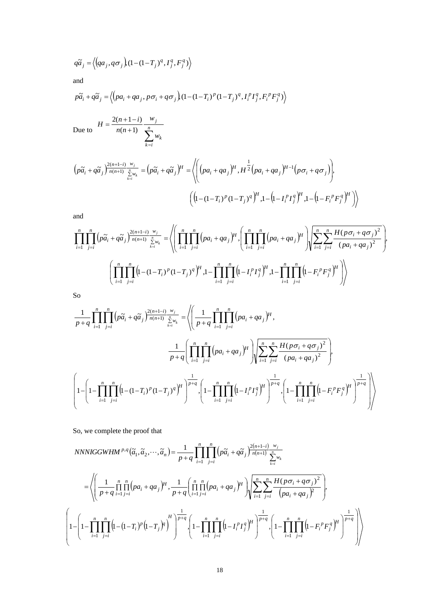$$
q\widetilde{a}_j = \left\langle \left(qa_j, q\sigma_j\right) (1 - (1 - T_j)^q, I_j^q, F_j^q) \right\rangle
$$

and

$$
p\tilde{a}_i + q\tilde{a}_j = \left\langle \left(p a_i + q a_j, p \sigma_i + q \sigma_j\right) (1 - (1 - T_i)^p (1 - T_j)^q, I_i^p I_j^q, F_i^p F_j^q) \right\rangle
$$

Due to  $n(n+1)$   $\sum_{k=i}^{n}$  $=\frac{2(n+1-i)}{n(n+1)}$  $k = i$ *k j w w n n*  $H = \frac{2(n+1-i)}{n(n+1)}$  $2(n+1-i)$ 

$$
\left(p\tilde{a}_{i} + q\tilde{a}_{j}\right)^{2(n+1-i)} \frac{w_{j}}{n(n+1)} \sum_{k=i}^{n} w_{k}} = \left(p\tilde{a}_{i} + q\tilde{a}_{j}\right)^{H} = \left\langle \left(\left(pa_{i} + qa_{j}\right)^{H}, H^{\frac{1}{2}}\left(pa_{i} + qa_{j}\right)^{H-1}\left(p\sigma_{i} + q\sigma_{j}\right)\right), \left(\left(1 - (1 - T_{i})^{P}(1 - T_{j})^{q}\right)^{H}, 1 - \left(1 - I_{i}^{P}I_{j}^{q}\right)^{H}, 1 - \left(1 - F_{i}^{P}F_{j}^{q}\right)^{H}\right)\right\rangle\right\rangle
$$

and

$$
\prod_{i=1}^{n} \prod_{j=i}^{n} \left( p \widetilde{a}_{i} + q \widetilde{a}_{j} \right) \frac{2(n+1-i)}{n(n+1)} \frac{w_{j}}{\sum_{k=i}^{n} w_{k}} = \left\langle \left( \prod_{i=1}^{n} \prod_{j=i}^{n} \left( p a_{i} + q a_{j} \right)^{\mu} \right) \left( \prod_{i=1}^{n} \prod_{j=i}^{n} \left( p a_{i} + q a_{j} \right)^{\mu} \right) \right\rangle \left\langle \sum_{i=1}^{n} \sum_{j=i}^{n} \frac{H(p \sigma_{i} + q \sigma_{j})^{2}}{(p a_{i} + q a_{j})^{2}} \right\rangle \right\rangle
$$
\n
$$
\left( \prod_{i=1}^{n} \prod_{j=i}^{n} \left( 1 - (1 - T_{i})^{p} (1 - T_{j})^{q} \right)^{\mu} \right) \left\langle 1 - \prod_{i=1}^{n} \prod_{j=i}^{n} \left( 1 - I_{i}^{p} I_{j}^{q} \right)^{\mu} \right\rangle \left\langle 1 - F_{i}^{p} F_{j}^{q} \right)^{\mu} \right\rangle
$$

So

$$
q\bar{a}_{j} = \langle \langle aq_{j}, q\sigma_{j} \rangle \mathbf{G} - \mathbf{G} - T_{j}\rangle^{q}, I_{j}^{q}, F_{j}^{q} \rangle \rangle
$$
  
\nand  
\n
$$
p\bar{a}_{i} + q\bar{a}_{j} = \langle (pa_{i} + qa_{j}, p\sigma_{i} + q\sigma_{j}) \mathbf{G} - \mathbf{G} - T_{j}\rangle^{q}, I_{i}^{p}I_{j}^{q}, F_{i}^{p}F_{j}^{q} \rangle \rangle
$$
  
\nDue to  
\n
$$
H = \frac{2(n+1-i)}{n(n+1)} \sum_{k=0}^{w_{j}}
$$
  
\n
$$
\left(\rho\bar{a}_{i} + q\bar{a}_{j}\right)^{2(n+1-i)} \sum_{k=0}^{w_{j}}
$$
  
\n
$$
\left(\rho\bar{a}_{i} + q\bar{a}_{j}\right)^{2(n+1-i)} \sum_{k=0}^{w_{j}}
$$
  
\n
$$
\left(\left[ (1-(1-i))^{p} (1-i))^{q} \right] \cdot \prod_{k=1}^{n} \left[ (pa_{i} + qa_{j})^{p} \right] \cdot \prod_{k=1}^{n} \left[ (pa_{i} + qa_{j})^{p} \right] \cdot \prod_{k=1}^{n} \left[ (pq_{i} + qa_{j})^{p} \right] \cdot \prod_{k=1}^{n} \left[ (pq_{i} + qa_{j})^{p} \right] \cdot \prod_{k=1}^{n} \left[ (pq_{i} + qa_{j})^{p} \right] \cdot \prod_{k=1}^{n} \left[ (pq_{i} + qa_{j})^{p} \right] \cdot \prod_{k=1}^{n} \left[ (pq_{i} + qa_{j})^{p} \right] \cdot \prod_{k=1}^{n} \left[ (pq_{i} + qa_{j})^{p} \right] \cdot \prod_{k=1}^{n} \left[ (pq_{i} + qa_{j})^{p} \right] \cdot \prod_{k=1}^{n} \left[ (pq_{i} + qa_{j})^{p} \right] \cdot \prod_{k=1}^{n} \left[ (pq_{i} + qa_{j})^{p} \right] \cdot \prod_{k=1}^{n} \left[ (pq_{i} + qa_{j})^{p} \right] \cdot \prod_{k=1}^{n} \left[ (pq_{i} + qa_{j})^{
$$

So, we complete the proof that

NNNIGGWHM<sup>p,q</sup>(
$$
\tilde{a}_1, \tilde{a}_2, \dots, \tilde{a}_n
$$
) =  $\frac{1}{p+q} \prod_{i=1}^n \prod_{j=i}^n \left( p\tilde{a}_i + q\tilde{a}_j \right)^{\frac{2(n+1-i)}{n(n+1)}} \sum_{k=i}^{w_j} w_k$   
\n= $\left\langle \left( \frac{1}{p+q} \prod_{i=1}^n \prod_{j=i}^n (pa_i + qa_j)^H, \frac{1}{p+q} \left( \prod_{i=1}^n \prod_{j=i}^n (pa_i + qa_j)^H \right) \right\rangle \left\langle \sum_{i=1}^n \sum_{j=i}^n \frac{H(p\sigma_i + q\sigma_j)^2}{(pa_i + qa_j)^2} \right\rangle, \left( 1 - \prod_{i=1}^n \prod_{j=i}^n (1 - (1-T_i)^p)(1-T_j)^H \right)^{\frac{1}{p+q}} \left\langle 1 - \prod_{i=1}^n \prod_{j=i}^n (1 - I_i^p I_j^q)^H \right\rangle^{\frac{1}{p+q}} \left( 1 - \prod_{i=1}^n \prod_{j=i}^n (1 - F_i^p F_j^q)^H \right)^{\frac{1}{p+q}} \right\rangle$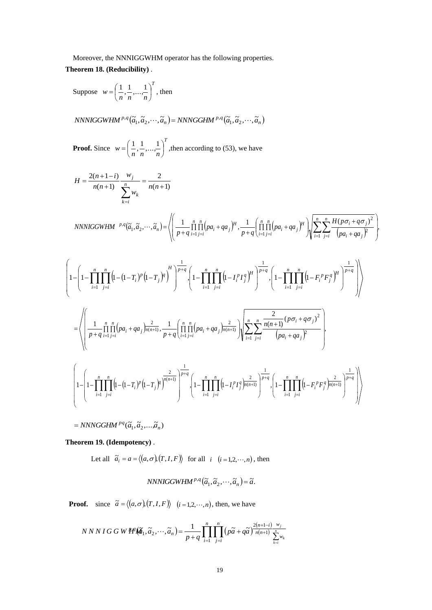Moreover, the NNNIGGWHM operator has the following properties.

**Theorem 18. (Reducibility)** .

Suppose 
$$
w = \left(\frac{1}{n}, \frac{1}{n}, \dots, \frac{1}{n}\right)^T
$$
, then

 $NNNIGGWHM^{p,q}(\tilde{a}_1, \tilde{a}_2, \cdots, \tilde{a}_n) = NNNGGHM^{p,q}(\tilde{a}_1, \tilde{a}_2, \cdots, \tilde{a}_n)$ 

**Proof.** Since 
$$
w = \left(\frac{1}{n}, \frac{1}{n}, \dots, \frac{1}{n}\right)^T
$$
, then according to (53), we have

 $\ddot{\phantom{a}}$ 

$$
H = \frac{2(n+1-i)}{n(n+1)} \frac{w_j}{\sum_{k=i}^{n} w_k} = \frac{2}{n(n+1)}
$$

NNNIGGWHM <sup>p,q</sup>(
$$
\tilde{a}_1
$$
,  $\tilde{a}_2$ ,..., $\tilde{a}_n$ ) =  $\left\langle \left( \frac{1}{p+q} \prod_{i=1}^n \prod_{j=i}^n (pa_i + qa_j)^H, \frac{1}{p+q} \left( \prod_{i=1}^n \prod_{j=i}^n (pa_i + qa_j)^H \right) \right) \left( \sum_{i=1}^n \sum_{j=i}^n \frac{H(p\sigma_i + q\sigma_j)^2}{(pa_i + qa_j)^2} \right) \right\rangle$ 

$$
\left(1-\left(1-\prod_{i=1}^{n}\prod_{j=i}^{n}\left(1-(1-T_{i})^{p}\left(1-T_{j}\right)^{p}\right)^{H}\right)^{\frac{1}{p+q}}\right)\left(1-\prod_{i=1}^{n}\prod_{j=i}^{n}\left(1-I_{i}^{p}T_{j}^{q}\right)^{H}\right)^{\frac{1}{p+q}}\right)\left(1-\prod_{i=1}^{n}\prod_{j=i}^{n}\left(1-F_{i}^{p}F_{j}^{q}\right)^{H}\right)^{\frac{1}{p+q}}\right)
$$
\n
$$
=\left\langle\left(\frac{1}{p+q}\prod_{i=1}^{n}\prod_{j=i}^{n}\left(pa_{i}+qa_{j}\right)\frac{2}{m(n+1)},\frac{1}{p+q}\left(\prod_{i=1}^{n}\prod_{j=i}^{n}\left(pa_{i}+qa_{j}\right)\frac{2}{m(n+1)}\right)\right)\left(\sum_{i=1}^{n}\sum_{j=i}^{n}\frac{2}{m(n+1)}\left(p\sigma_{i}+q\sigma_{j}\right)^{2}\right)\right\rangle
$$
\n
$$
\left(1-\left(1-\prod_{i=1}^{n}\prod_{j=i}^{n}\left(1-(1-T_{i})^{p}\left(1-T_{j}\right)^{q}\right)^{\frac{2}{m(n+1)}}\right)^{\frac{1}{p+q}}\right)\left(1-\prod_{i=1}^{n}\prod_{j=i}^{n}\left(1-I_{i}^{p}T_{j}^{q}\right)\frac{2}{m(n+1)}\right)^{\frac{1}{p+q}}\right)\left(1-\prod_{i=1}^{n}\prod_{j=i}^{n}\left(1-F_{i}^{p}F_{j}^{q}\right)^{\frac{2}{m(n+1)}}\right)^{\frac{1}{p+q}}\right)\right\rangle
$$

 $=NNNGGHM^{pq}(\tilde{a}_1, \tilde{a}_2, \ldots, \tilde{a}_n)$ 

**Theorem 19. (Idempotency)** .

Let all  $\tilde{a}_i = a = \langle (a, \sigma), (T, I, F) \rangle$  for all  $i \ (i = 1, 2, \dots, n)$ , then

$$
NNNIGGWHM^{p,q}(\widetilde{a}_1, \widetilde{a}_2, \cdots, \widetilde{a}_n) = \widetilde{a}.
$$

**Proof.** since  $\tilde{a} = \langle (a, \sigma), (T, I, F) \rangle$   $(i = 1, 2, \dots, n)$ , then, we have

$$
NNNIGGWHM(\tilde{a}_1, \tilde{a}_2, \cdots, \tilde{a}_n) = \frac{1}{p+q} \prod_{i=1}^n \prod_{j=i}^n (p\tilde{a} + q\tilde{a})^{\frac{2(n+1-i)}{n(n+1)}} \sum_{k=i}^{w_i} w_k
$$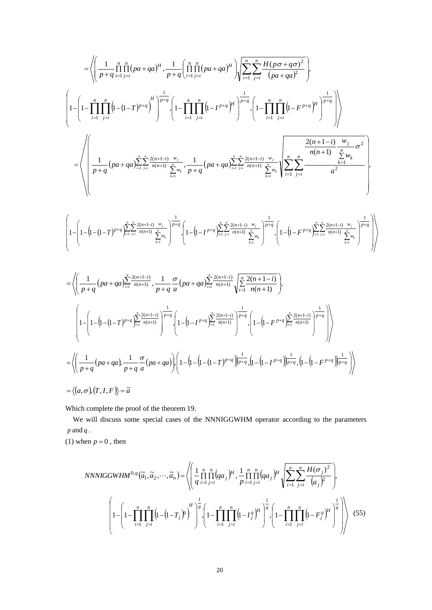$$
\begin{split}\n&= \left\langle \left( \frac{1}{p+q} \prod_{i=1}^{n} \prod_{j=i}^{n} (pa+qa)^{H} \cdot \frac{1}{p+q} \left( \prod_{i=1}^{n} \prod_{j=i}^{n} (pa+qa)^{H} \right) \right\rangle \sum_{i=1}^{n} \sum_{j=i}^{n} \frac{H(p\sigma+q\sigma)^{2}}{(pa+qa)^{2}} \right\rangle \\
&= \left\langle 1 - \left( \frac{1}{1-\prod_{i=1}^{n} \prod_{j=i}^{n} (1-(1-T)^{p+q})^{H}} \right)^{\frac{1}{p+q}} \left( 1 - \prod_{i=1}^{n} \prod_{j=i}^{n} (1-P^{iq})^{H} \right)^{\frac{1}{p+q}} \cdot \left( 1 - \prod_{i=1}^{n} \prod_{j=i}^{n} (1-P^{iq})^{H} \right)^{\frac{1}{p+q}} \right\rangle \right\rangle \\
&= \left\langle \left( \frac{1}{p+q} (pa+qa) \sum_{i=1}^{n} \sum_{j=i}^{n} \frac{2(n+1-i)}{n(n+1)} \sum_{k=i}^{n} \sum_{j=i}^{n} (pa+qa) \sum_{i=1}^{n} \sum_{j=i}^{n} \frac{2(n+1-i)}{n(n+1)} \sum_{k=i}^{n} \sum_{k=i}^{n} (1-P^{iq})^{H}}{\sum_{k=i}^{n} \sum_{j=i}^{n} (1-P^{iq})^{H}} \right\rangle \right\rangle \\
&= \left\langle \left( 1 - \left( 1 - (1-T)^{p+q} \right) \prod_{j=i}^{n} \sum_{j=i}^{n} \sum_{k=i}^{n} (1-P^{iq}) \sum_{k=i}^{n} \sum_{j=i}^{n} (1-P^{iq})^{H} \cdot \left( 1 - (1-P^{iq}) \prod_{k=i}^{n} \sum_{j=i}^{n} \sum_{k=i}^{n} (1-P^{iq})^{H} \cdot \left( 1 - (1-P^{iq}) \prod_{k=i}^{n} \sum_{j=i}^{n} \sum_{k=i}^{n} (1-P^{iq})^{H} \cdot \left( 1 - (1-P^{iq}) \prod_{k=i}^{n} \sum_{j=i}^{n} \sum_{j=i}^{n} (1-P^{iq})^{H} \cdot \left( 1 - (1-P^{iq}) \prod_{j=i}^{n} \sum_{j=i}^{n
$$

Which complete the proof of the theorem 19.

We will discuss some special cases of the NNNIGGWHM operator according to the parameters *p* and *q* .

(1) when  $p = 0$ , then

NNNIGGWHM<sup>0,q</sup>(
$$
\tilde{a}_1, \tilde{a}_2, \dots, \tilde{a}_n
$$
) =  $\left\langle \left( \frac{1}{q} \prod_{i=1}^n \prod_{j=i}^n (qa_j)^H, \frac{1}{p} \prod_{i=1}^n \prod_{j=i}^n (qa_j)^H \right) \sum_{i=1}^n \sum_{j=i}^n \frac{H(\sigma_j)^2}{(a_j)^2} \right\rangle$ ,  

$$
\left( 1 - \left( 1 - \prod_{i=1}^n \prod_{j=i}^n \left( 1 - (1 - T_j)^q \right)^H \right)^{\frac{1}{q}} \left\{ 1 - \prod_{i=1}^n \prod_{j=i}^n \left( 1 - T_j^q \right)^H \right)^{\frac{1}{q}} , \left( 1 - \prod_{i=1}^n \prod_{j=i}^n \left( 1 - F_j^q \right)^H \right)^{\frac{1}{q}} \right\rangle \right\}
$$
(55)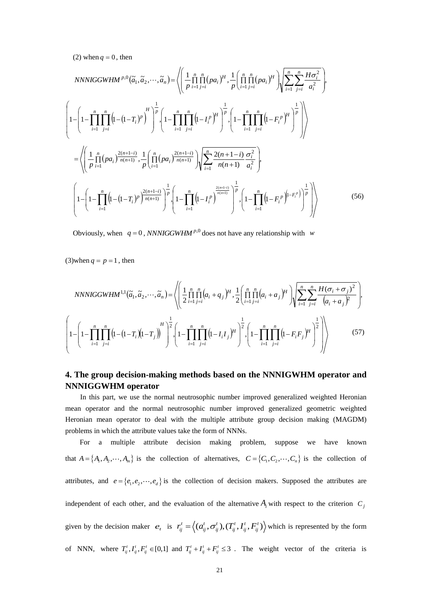$(2)$  when  $q = 0$ , then

NNNIGGWHM<sup>p,0</sup>(
$$
\tilde{a}_1, \tilde{a}_2, \dots, \tilde{a}_n
$$
) =  $\left\langle \left( \frac{1}{p} \prod_{i=1}^n \prod_{j=i}^n (pa_i)^H \right), \frac{1}{p} \left( \prod_{i=1}^n \prod_{j=i}^n (pa_i)^H \right) \right\rangle \left\langle \sum_{i=1}^n \sum_{j=i}^n \frac{H \sigma_i^2}{a_i^2} \right\rangle$   

$$
\left( 1 - \left( 1 - \prod_{i=1}^n \prod_{j=i}^n \left( 1 - (1 - T_i)^p \right)^H \right)^{\frac{1}{p}} \cdot \left( 1 - \prod_{i=1}^n \prod_{j=i}^n \left( 1 - I_i^p \right)^H \right)^{\frac{1}{p}} \cdot \left( 1 - \prod_{i=1}^n \prod_{j=i}^n \left( 1 - F_i^p \right)^H \right)^{\frac{1}{p}} \right\rangle
$$

$$
= \left\langle \left( \frac{1}{p} \prod_{i=1}^n (pa_i)^{\frac{2(n+1-i)}{n(n+1)}} \right), \frac{1}{p} \left( \prod_{i=1}^n (pa_i)^{\frac{2(n+1-i)}{n(n+1)}} \right) \left( \sum_{i=1}^n \frac{2(n+1-i)}{n(n+1)} \frac{\sigma_i^2}{a_i^2} \right),
$$

$$
\left( 1 - \left( 1 - \prod_{i=1}^n \left( 1 - (1 - T_i)^p \right)^{\frac{2(n+1-i)}{n(n+1)}} \right)^{\frac{1}{p}} \cdot \left( 1 - \prod_{i=1}^n \left( 1 - I_i^p \right)^{\frac{2(n+1-i)}{n(n+1)}} \right)^{\frac{1}{p}} \cdot \left( 1 - \prod_{i=1}^n \left( 1 - F_i^p \right)^{\frac{1}{n-p}} \right)^{\frac{1}{p}} \right\rangle
$$
(56)

Obviously, when  $q = 0$ , *NNNIGGWHM*<sup>*p*,0</sup> does not have any relationship with *w* 

(3) when  $q = p = 1$ , then

NNNIGGWHM<sup>1,1</sup>(
$$
\tilde{a}_1, \tilde{a}_2, \dots, \tilde{a}_n
$$
) =  $\left\langle \left( \frac{1}{2} \prod_{i=1}^n \prod_{j=i}^n (a_i + q_j)^H, \frac{1}{2} \left( \prod_{i=1}^n \prod_{j=i}^n (a_i + a_j)^H \right) \right) \left( \sum_{i=1}^n \sum_{j=i}^n \frac{H(\sigma_i + \sigma_j)^2}{(a_i + a_j)^2} \right),$   

$$
\left( 1 - \left( 1 - \prod_{i=1}^n \prod_{j=i}^n \left( 1 - (1 - T_i)(1 - T_j) \right)^H \right)^{\frac{1}{2}} \cdot \left( 1 - \prod_{i=1}^n \prod_{j=i}^n \left( 1 - I_i I_j \right)^H \right)^{\frac{1}{2}} \cdot \left( 1 - \prod_{i=1}^n \prod_{j=i}^n \left( 1 - F_i F_j \right)^H \right)^{\frac{1}{2}} \right) \right\rangle
$$
(57)

# **4. The group decision-making methods based on the NNNIGWHM operator and NNNIGGWHM operator**

 In this part, we use the normal neutrosophic number improved generalized weighted Heronian mean operator and the normal neutrosophic number improved generalized geometric weighted Heronian mean operator to deal with the multiple attribute group decision making (MAGDM) problems in which the attribute values take the form of NNNs.

For a multiple attribute decision making problem, suppose we have known that  $A = \{A_1, A_2, \dots, A_m\}$  is the collection of alternatives,  $C = \{C_1, C_2, \dots, C_n\}$  is the collection of attributes, and  $e = \{e_1, e_2, \dots, e_d\}$  is the collection of decision makers. Supposed the attributes are independent of each other, and the evaluation of the alternative  $A_i$  with respect to the criterion  $C_j$ given by the decision maker  $e_t$  is  $r_{ij}^t = \left\langle (a_{ij}^t, \sigma_{ij}^t), (T_{ij}^t, I_{ij}^t, F_{ij}^t) \right\rangle$  which is represented by the form of NNN, where  $T_i^t$ ,  $I_{ij}^t$ ,  $F_{ij}^t \in [0,1]$  and  $T_{ij}^t + I_{ij}^t + F_{ij}^t \leq 3$ . The weight vector of the criteria is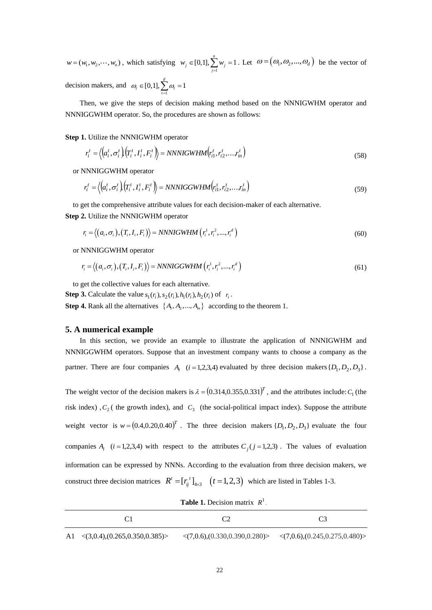$w = (w_1, w_2, \dots, w_n)$ , which satisfying 1  $[0,1], \sum_{i=1}^{n} w_i = 1$  $j \in [0,1], \sum_{j=1}^W w_j$  $w_i \in [0,1], \sum w$  $\in [0,1], \sum_{j=1}^{n} w_j = 1$ . Let  $\omega = (\omega_1, \omega_2, ..., \omega_d)$  be the vector of decision makers, and 1  $[0,1], \sum_{i=1}^{d} \omega_i = 1$  $U_t \in [0,1], \sum_{t=1}^{\infty} U_t$  $\omega_t \in [0,1], \sum \omega_t$  $\in [0,1], \sum_{t=1}^{n} \omega_t = 1$ 

Then, we give the steps of decision making method based on the NNNIGWHM operator and NNNIGGWHM operator. So, the procedures are shown as follows:

**Step 1.** Utilize the NNNIGWHM operator

$$
r_i^t = \langle \left( a_i^t, \sigma_i^t \right) \left( T_i^t, I_i^t, F_i^t \right) \rangle = NNNIGWHM \left( r_{i1}^t, r_{i2}^t, \dots, r_{in}^t \right) \tag{58}
$$

or NNNIGGWHM operator

$$
r_i^t = \left\langle \left(a_i^t, \sigma_i^t\right) \left(T_i^t, I_i^t, F_i^t\right) \right\rangle = NNNIGGWHM\left(r_{i1}^t, r_{i2}^t, \dots, r_{in}^t\right) \tag{59}
$$

to get the comprehensive attribute values for each decision-maker of each alternative.

Step 2. Utilize the NNNIGWHM operator  
\n
$$
r_i = \langle (a_i, \sigma_i), (T_i, I_i, F_i) \rangle = NNNIGWHM \left( r_i^1, r_i^2, ..., r_i^d \right)
$$
\n(60)

or NNNIGGWHM operator

NNNIGGWHM operator  
\n
$$
r_i = \langle (a_i, \sigma_i), (T_i, I_i, F_i) \rangle = NNNIGGWHM \left( r_i^1, r_i^2, ..., r_i^d \right)
$$
\n(61)

to get the collective values for each alternative.

**Step 3.** Calculate the value  $s_1(r_i)$ ,  $s_2(r_i)$ ,  $h_1(r_i)$ ,  $h_2(r_i)$  of  $r_i$ . **Step 4.** Rank all the alternatives  $\{A_1, A_2, ..., A_m\}$  according to the theorem 1.

### **5. A numerical example**

In this section, we provide an example to illustrate the application of NNNIGWHM and NNNIGGWHM operators. Suppose that an investment company wants to choose a company as the partner. There are four companies  $A_i$  ( $i = 1,2,3,4$ ) evaluated by three decision makers  $\{D_1, D_2, D_3\}$ .

The weight vector of the decision makers is  $\lambda = (0.314, 0.355, 0.331)^T$ , and the attributes include:  $C_1$  (the risk index),  $C_2$  (the growth index), and  $C_3$  (the social-political impact index). Suppose the attribute weight vector is  $w = (0.4, 0.20, 0.40)^T$ . The three decision makers  $\{D_1, D_2, D_3\}$  evaluate the four companies  $A_i$  (*i* = 1,2,3,4) with respect to the attributes  $C_j$  (*j* = 1,2,3). The values of evaluation information can be expressed by NNNs. According to the evaluation from three decision makers, we construct three decision matrices  $R^t = [r_{ij}^t]_{4 \times 3}$   $(t = 1, 2, 3)$  which are listed in Tables 1-3.

| <b>Table 1.</b> Decision matrix $R^1$ . |  |  |  |
|-----------------------------------------|--|--|--|
|-----------------------------------------|--|--|--|

| A1 $\langle (3,0.4), (0.265, 0.350, 0.385) \rangle$ | $\langle (7,0.6), (0.330, 0.390, 0.280) \rangle$ $\langle (7,0.6), (0.245, 0.275, 0.480) \rangle$ |  |
|-----------------------------------------------------|---------------------------------------------------------------------------------------------------|--|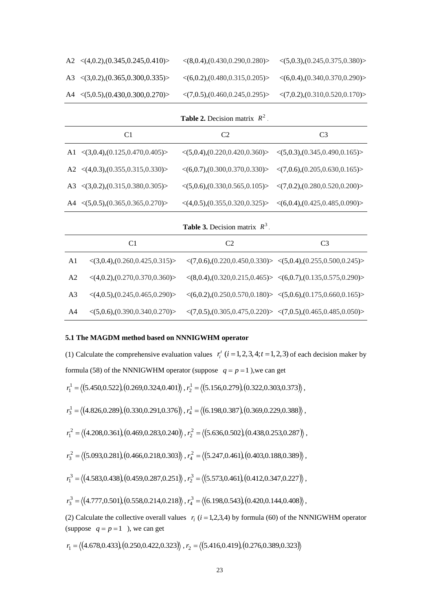| A2 $\langle (4,0.2), (0.345, 0.245, 0.410) \rangle$       | $\langle (8,0.4), (0.430, 0.290, 0.280) \rangle$ | $\langle (5,0.3), (0.245, 0.375, 0.380) \rangle$ |
|-----------------------------------------------------------|--------------------------------------------------|--------------------------------------------------|
| A3 $\langle (3,0.2), (0.365, 0.300, 0.335) \rangle$       | $\langle (6,0.2), (0.480, 0.315, 0.205) \rangle$ | $\langle (6,0.4), (0.340, 0.370, 0.290) \rangle$ |
| $A4 \quad \langle (5,0.5), (0.430, 0.300, 0.270) \rangle$ | $\langle (7,0.5), (0.460, 0.245, 0.295) \rangle$ | $\langle (7,0.2), (0.310, 0.520, 0.170) \rangle$ |

# **Table 2.** Decision matrix  $R^2$ .

| C1                                                  | C2 | C <sub>3</sub>                                                                                    |
|-----------------------------------------------------|----|---------------------------------------------------------------------------------------------------|
| A1 $\langle (3,0.4), (0.125, 0.470, 0.405) \rangle$ |    | $\langle (5,0.4), (0.220, 0.420, 0.360) \rangle$ $\langle (5,0.3), (0.345, 0.490, 0.165) \rangle$ |
| A2 $\langle (4,0.3), (0.355, 0.315, 0.330) \rangle$ |    | $\langle (6,0.7), (0.300, 0.370, 0.330) \rangle$ $\langle (7,0.6), (0.205, 0.630, 0.165) \rangle$ |
| A3 $\langle (3,0.2), (0.315, 0.380, 0.305) \rangle$ |    | $\langle (5,0.6), (0.330, 0.565, 0.105) \rangle$ $\langle (7,0.2), (0.280, 0.520, 0.200) \rangle$ |
| A4 $\langle (5,0.5), (0.365, 0.365, 0.270) \rangle$ |    | $\langle (4,0.5), (0.355, 0.320, 0.325) \rangle$ $\langle (6,0.4), (0.425, 0.485, 0.090) \rangle$ |
|                                                     |    |                                                                                                   |

## **Table 3.** Decision matrix  $R^3$ .

|                | C <sub>1</sub>                                   | C <sub>2</sub>                                                                                                                                     | C <sub>3</sub>                                                                                    |
|----------------|--------------------------------------------------|----------------------------------------------------------------------------------------------------------------------------------------------------|---------------------------------------------------------------------------------------------------|
| A1             |                                                  | $\langle (3,0.4), (0.260, 0.425, 0.315) \rangle$ $\langle (7,0.6), (0.220, 0.450, 0.330) \rangle$ $\langle (5,0.4), (0.255, 0.500, 0.245) \rangle$ |                                                                                                   |
| A <sub>2</sub> | $\langle (4,0.2), (0.270, 0.370, 0.360) \rangle$ |                                                                                                                                                    | $\langle (8,0.4), (0.320, 0.215, 0.465) \rangle$ $\langle (6,0.7), (0.135, 0.575, 0.290) \rangle$ |
| A3             | $\langle (4,0.5), (0.245, 0.465, 0.290) \rangle$ |                                                                                                                                                    | $\langle (6,0.2), (0.250, 0.570, 0.180) \rangle \langle (5,0.6), (0.175, 0.660, 0.165) \rangle$   |
| A4             | $\langle (5,0.6), (0.390, 0.340, 0.270) \rangle$ |                                                                                                                                                    | $\langle (7,0.5), (0.305, 0.475, 0.220) \rangle \langle (7,0.5), (0.465, 0.485, 0.050) \rangle$   |

#### **5.1 The MAGDM method based on NNNIGWHM operator**

(1) Calculate the comprehensive evaluation values  $r_i^t$  ( $i = 1, 2, 3, 4; t = 1, 2, 3$ ) of each decision maker by formula (58) of the NNNIGWHM operator (suppose  $q = p = 1$ ), we can get  $r_1^1 = \langle (5.450, 0.522), (0.269, 0.324, 0.401), r_2^1 = \langle (5.156, 0.279), (0.322, 0.303, 0.373) \rangle$ ,  $r_3^1 = \langle (4.826, 0.289), (0.330, 0.291, 0.376) \rangle$ ,  $r_4^1 = \langle (6.198, 0.387), (0.369, 0.229, 0.388) \rangle$ ,  $r_1^2 = \langle (4.208, 0.361), (0.469, 0.283, 0.240), r_2^2 = \langle (5.636, 0.502), (0.438, 0.253, 0.287) \rangle$  $r_3^2 = \langle (5.093, 0.281), (0.466, 0.218, 0.303) \rangle$ ,  $r_4^2 = \langle (5.247, 0.461), (0.403, 0.188, 0.389) \rangle$ ,  $r_1^3 = \langle (4.583, 0.438), (0.459, 0.287, 0.251), r_2^3 = \langle (5.573, 0.461), (0.412, 0.347, 0.227) \rangle$  $r_3^3 = \langle (4.777, 0.501), (0.558, 0.214, 0.218) \rangle, r_4^3 = \langle (6.198, 0.543), (0.420, 0.144, 0.408) \rangle,$ (2) Calculate the collective overall values  $r_i$  ( $i = 1,2,3,4$ ) by formula (60) of the NNNIGWHM operator (suppose  $q = p = 1$ ), we can get

$$
r_1 = \langle (4.678, 0.433), (0.250, 0.422, 0.323), r_2 = \langle (5.416, 0.419), (0.276, 0.389, 0.323) \rangle
$$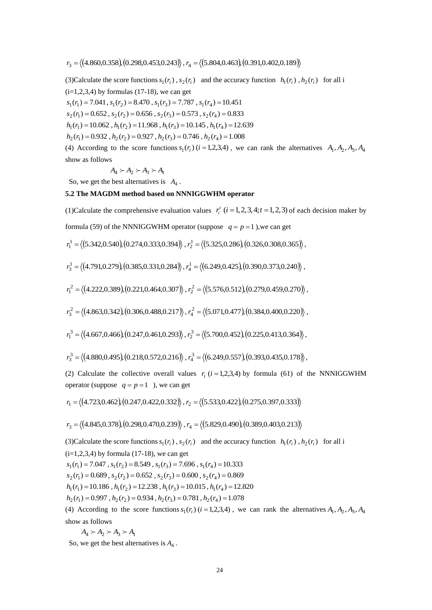(3) Calculate the score functions  $s_1(r_i)$ ,  $s_2(r_i)$  and the accuracy function  $h_1(r_i)$ ,  $h_2(r_i)$  for all i

 $(i=1,2,3,4)$  by formulas (17-18), we can get

 $s_1(r_1) = 7.041$ ,  $s_1(r_2) = 8.470$ ,  $s_1(r_3) = 7.787$ ,  $s_1(r_4) = 10.451$ 

 $s_2(r_1) = 0.652$ ,  $s_2(r_2) = 0.656$ ,  $s_2(r_3) = 0.573$ ,  $s_2(r_4) = 0.833$ 

 $h_1(r_1) = 10.062$ ,  $h_1(r_2) = 11.968$ ,  $h_1(r_3) = 10.145$ ,  $h_1(r_4) = 12.639$ 

 $h_2(r_1) = 0.932$ ,  $h_2(r_2) = 0.927$ ,  $h_2(r_3) = 0.746$ ,  $h_2(r_4) = 1.008$ 

(4) According to the score functions  $s_1(r_i)$  ( $i = 1,2,3,4$ ), we can rank the alternatives  $A_1, A_2, A_3, A_4$ show as follows

$$
A_4 \succ A_2 \succ A_3 \succ A_1
$$

So, we get the best alternatives is  $A_4$ .

## **5.2 The MAGDM method based on NNNIGGWHM operator**

(1)Calculate the comprehensive evaluation values  $r_i^t$  ( $i = 1, 2, 3, 4; t = 1, 2, 3$ ) of each decision maker by

formula (59) of the NNNIGGWHM operator (suppose  $q = p = 1$ ), we can get

$$
r_1^1 = \langle (5.342, 0.540), (0.274, 0.333, 0.394), r_2^1 = \langle (5.325, 0.286), (0.326, 0.308, 0.365) \rangle,
$$

$$
r_3^1 = \langle (4.791, 0.279), (0.385, 0.331, 0.284), r_4^1 = \langle (6.249, 0.425), (0.390, 0.373, 0.240) \rangle,
$$

$$
r_1^2 = \langle (4.222, 0.389), (0.221, 0.464, 0.307), r_2^2 = \langle (5.576, 0.512), (0.279, 0.459, 0.270) \rangle,
$$

$$
r_3^2 = \langle (4.863, 0.342), (0.306, 0.488, 0.217), r_4^2 = \langle (5.071, 0.477), (0.384, 0.400, 0.220) \rangle,
$$

$$
r_1^3 = \langle (4.667, 0.466), (0.247, 0.461, 0.293), r_2^3 = \langle (5.700, 0.452), (0.225, 0.413, 0.364) \rangle,
$$

$$
r_3^3 = \langle (4.880, 0.495), (0.218, 0.572, 0.216), r_4^3 = \langle (6.249, 0.557), (0.393, 0.435, 0.178), (0.393, 0.435, 0.178), (0.393, 0.435, 0.178), (0.393, 0.435, 0.178), (0.393, 0.435, 0.178), (0.393, 0.435, 0.178), (0.393, 0.435, 0.178), (0.393, 0.435, 0.178), (0.393, 0.435, 0.178), (0.393, 0.435, 0.178), (0.393, 0.435, 0.178), (0.393, 0.435, 0.178), (0.393, 0.435, 0.178), (0.393, 0.435, 0.178), (0.393, 0.435, 0.178), (0.393, 0.435, 0.178), (0.393, 0.435, 0.178), (0.393, 0.435, 0.178), (0.393, 0.435, 0.178), (0.393, 0.435, 0.178), (0.393, 0.435, 0.178), (0.393, 0.435, 0.178), (0.393, 0.435, 0.178), (0.393, 0.435, 0.178), (0.393, 0.435, 0.178), (0.393, 0.435, 0.178), (0.393, 0.435, 0.178), (0.393, 0.435, 0.178), (0.393, 0.435, 0.178), (0.393, 0.435, 0.178), (0.393, 0.435, 0.178), (0.393, 0.435, 0.178), (0.393, 0.435, 0.178), (
$$

(2) Calculate the collective overall values  $r_i$  ( $i = 1,2,3,4$ ) by formula (61) of the NNNIGGWHM operator (suppose  $q = p = 1$ ), we can get

$$
r_1 = \langle (4.723, 0.462), (0.247, 0.422, 0.332), r_2 = \langle (5.533, 0.422), (0.275, 0.397, 0.333) \rangle
$$

$$
r_3 = \langle (4.845, 0.378), (0.298, 0.470, 0.239) \rangle, r_4 = \langle (5.829, 0.490), (0.389, 0.403, 0.213) \rangle
$$

 $r_1 = ((4.860,0.358),0.298,0.453,0.243), r_2 = ((5.804,0.463),0.391,0.402,0.189),$ <br>
3)Calculate the score functions  $h_1(r)$ ,  $h_2(r)$  and the eccentracy function  $h_3(r)$ ,  $h_5(r) = 7.941$ ,  $x_1(r_2) = 8.470$ ,  $x_1(r_2) = 7.787$ ,  $x_1(r_2) =$ (3) Calculate the score functions  $s_1(r_i)$ ,  $s_2(r_i)$  and the accuracy function  $h_1(r_i)$ ,  $h_2(r_i)$  for all i  $(i=1,2,3,4)$  by formula (17-18), we can get  $s_1(r_1) = 7.047$ ,  $s_1(r_2) = 8.549$ ,  $s_1(r_3) = 7.696$ ,  $s_1(r_4) = 10.333$  $s_2(r_1) = 0.689$ ,  $s_2(r_2) = 0.652$ ,  $s_2(r_3) = 0.600$ ,  $s_2(r_4) = 0.869$  $h_1(r_1) = 10.186$ ,  $h_1(r_2) = 12.238$ ,  $h_1(r_3) = 10.015$ ,  $h_1(r_4) = 12.820$  $h_2(r_1) = 0.997$ ,  $h_2(r_2) = 0.934$ ,  $h_2(r_3) = 0.781$ ,  $h_2(r_4) = 1.078$ (4) According to the score functions  $s_1(r_i)$  ( $i = 1,2,3,4$ ), we can rank the alternatives  $A_1, A_2, A_3, A_4$ 

show as follows

$$
A_4 \succ A_2 \succ A_3 \succ A_1
$$

So, we get the best alternatives is  $A_4$ .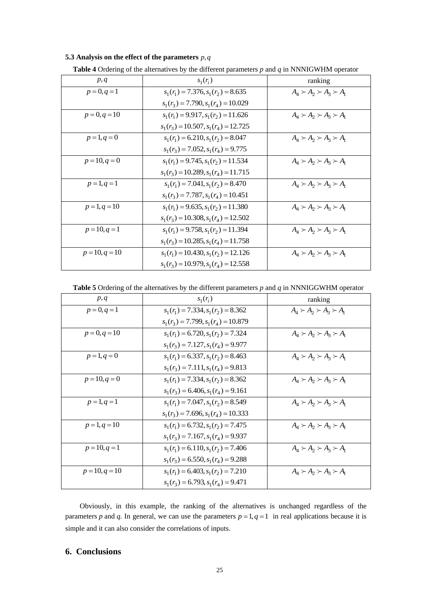#### **5.3 Analysis on the effect of the parameters** *p*,*q*

| p, q            | $s_1(r_i)$                              | ranking                             |
|-----------------|-----------------------------------------|-------------------------------------|
| $p = 0, q = 1$  | $s_1(r_1) = 7.376$ , $s_1(r_2) = 8.635$ | $A_4 \succ A_2 \succ A_3 \succ A_1$ |
|                 | $s_1(r_3) = 7.790, s_1(r_4) = 10.029$   |                                     |
| $p = 0, q = 10$ | $s_1(r_1) = 9.917, s_1(r_2) = 11.626$   | $A_4 \succ A_2 \succ A_3 \succ A_1$ |
|                 | $s_1(r_3) = 10.507, s_1(r_4) = 12.725$  |                                     |
| $p = 1, q = 0$  | $s_1(r_1) = 6.210, s_1(r_2) = 8.047$    | $A_4 \succ A_2 \succ A_3 \succ A_1$ |
|                 | $s_1(r_3) = 7.052$ , $s_1(r_4) = 9.775$ |                                     |
| $p = 10, q = 0$ | $s_1(r_1) = 9.745, s_1(r_2) = 11.534$   | $A_4 \succ A_2 \succ A_3 \succ A_1$ |
|                 | $s_1(r_3) = 10.289, s_1(r_4) = 11.715$  |                                     |
| $p = 1, q = 1$  | $s_1(r_1) = 7.041, s_1(r_2) = 8.470$    | $A_4 \succ A_2 \succ A_3 \succ A_1$ |
|                 | $s_1(r_3) = 7.787, s_1(r_4) = 10.451$   |                                     |
| $p = 1, q = 10$ | $s_1(r_1) = 9.635, s_1(r_2) = 11.380$   | $A_4 \succ A_2 \succ A_3 \succ A_1$ |
|                 | $s_1(r_3) = 10.308, s_1(r_4) = 12.502$  |                                     |
| $p = 10, q = 1$ | $s_1(r_1) = 9.758, s_1(r_2) = 11.394$   | $A_4 \succ A_2 \succ A_3 \succ A_1$ |
|                 | $s_1(r_3) = 10.285, s_1(r_4) = 11.758$  |                                     |
| $p=10, q=10$    | $s_1(r_1) = 10.430, s_1(r_2) = 12.126$  | $A_4 \succ A_2 \succ A_3 \succ A_1$ |
|                 | $s_1(r_3) = 10.979, s_1(r_4) = 12.558$  |                                     |

| <b>Table 4</b> Ordering of the alternatives by the different parameters p and q in NNNIGWHM operator |  |  |  |
|------------------------------------------------------------------------------------------------------|--|--|--|
|                                                                                                      |  |  |  |

**Table 5** Ordering of the alternatives by the different parameters *p* and *q* in NNNIGGWHM operator

| p, q             | $s_1(r_i)$                               | ranking                             |
|------------------|------------------------------------------|-------------------------------------|
| $p = 0, q = 1$   | $s_1(r_1) = 7.334, s_1(r_2) = 8.362$     | $A_4 \succ A_2 \succ A_3 \succ A_1$ |
|                  | $s_1(r_3) = 7.799, s_1(r_4) = 10.879$    |                                     |
| $p = 0, q = 10$  | $s_1(r_1) = 6.720, s_1(r_2) = 7.324$     | $A_4 \succ A_2 \succ A_3 \succ A_1$ |
|                  | $s_1(r_3) = 7.127, s_1(r_4) = 9.977$     |                                     |
| $p = 1, q = 0$   | $s_1(r_1) = 6.337, s_1(r_2) = 8.463$     | $A_4 \succ A_2 \succ A_3 \succ A_1$ |
|                  | $s_1(r_3) = 7.111$ , $s_1(r_4) = 9.813$  |                                     |
| $p = 10, q = 0$  | $s_1(r_1) = 7.334, s_1(r_2) = 8.362$     | $A_4 \succ A_2 \succ A_3 \succ A_1$ |
|                  | $s_1(r_3) = 6.406$ , $s_1(r_4) = 9.161$  |                                     |
| $p = 1, q = 1$   | $s_1(r_1) = 7.047, s_1(r_2) = 8.549$     | $A_4 \succ A_2 \succ A_3 \succ A_1$ |
|                  | $s_1(r_3) = 7.696$ , $s_1(r_4) = 10.333$ |                                     |
| $p = 1, q = 10$  | $s_1(r_1) = 6.732, s_1(r_2) = 7.475$     | $A_4 \succ A_2 \succ A_3 \succ A_1$ |
|                  | $s_1(r_3) = 7.167, s_1(r_4) = 9.937$     |                                     |
| $p = 10, q = 1$  | $s_1(r_1) = 6.110, s_1(r_2) = 7.406$     | $A_4 \succ A_2 \succ A_3 \succ A_1$ |
|                  | $s_1(r_3) = 6.550, s_1(r_4) = 9.288$     |                                     |
| $p = 10, q = 10$ | $s_1(r_1) = 6.403$ , $s_1(r_2) = 7.210$  | $A_4 \succ A_2 \succ A_3 \succ A_1$ |
|                  | $s_1(r_3) = 6.793$ , $s_1(r_4) = 9.471$  |                                     |

Obviously, in this example, the ranking of the alternatives is unchanged regardless of the parameters p and q. In general, we can use the parameters  $p = 1$ ,  $q = 1$  in real applications because it is simple and it can also consider the correlations of inputs.

# **6. Conclusions**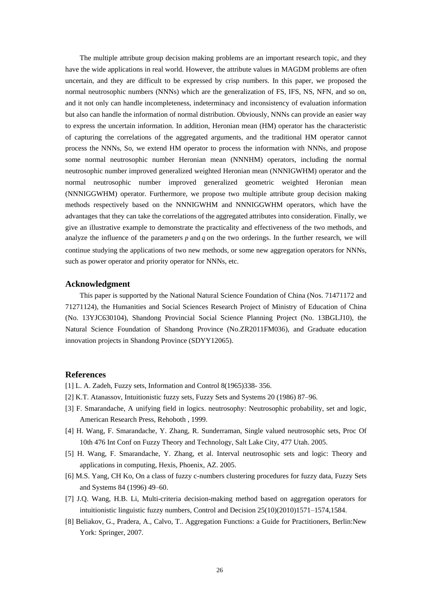The multiple attribute group decision making problems are an important research topic, and they have the wide applications in real world. However, the attribute values in MAGDM problems are often uncertain, and they are difficult to be expressed by crisp numbers. In this paper, we proposed the normal neutrosophic numbers (NNNs) which are the generalization of FS, IFS, NS, NFN, and so on, and it not only can handle incompleteness, indeterminacy and inconsistency of evaluation information but also can handle the information of normal distribution. Obviously, NNNs can provide an easier way to express the uncertain information. In addition, Heronian mean (HM) operator has the characteristic of capturing the correlations of the aggregated arguments, and the traditional HM operator cannot process the NNNs, So, we extend HM operator to process the information with NNNs, and propose some normal neutrosophic number Heronian mean (NNNHM) operators, including the normal neutrosophic number improved generalized weighted Heronian mean (NNNIGWHM) operator and the normal neutrosophic number improved generalized geometric weighted Heronian mean (NNNIGGWHM) operator. Furthermore, we propose two multiple attribute group decision making methods respectively based on the NNNIGWHM and NNNIGGWHM operators, which have the advantages that they can take the correlations of the aggregated attributes into consideration. Finally, we give an illustrative example to demonstrate the practicality and effectiveness of the two methods, and analyze the influence of the parameters  $p$  and  $q$  on the two orderings. In the further research, we will continue studying the applications of two new methods, or some new aggregation operators for NNNs, such as power operator and priority operator for NNNs, etc.

### **Acknowledgment**

This paper is supported by the National Natural Science Foundation of China (Nos. 71471172 and 71271124), the Humanities and Social Sciences Research Project of Ministry of Education of China (No. 13YJC630104), Shandong Provincial Social Science Planning Project (No. 13BGLJ10), the Natural Science Foundation of Shandong Province (No.ZR2011FM036), and Graduate education innovation projects in Shandong Province (SDYY12065).

#### **References**

- [1] L. A. Zadeh, Fuzzy sets, Information and Control 8(1965)338-356.
- [2] K.T. Atanassov, Intuitionistic fuzzy sets, Fuzzy Sets and Systems 20 (1986) 87–96.
- [3] F. Smarandache, A unifying field in logics. neutrosophy: Neutrosophic probability, set and logic, American Research Press, Rehoboth , 1999.
- [4] H. Wang, F. Smarandache, Y. Zhang, R. Sunderraman, Single valued neutrosophic sets, Proc Of 10th 476 Int Conf on Fuzzy Theory and Technology, Salt Lake City, 477 Utah. 2005.
- [5] H. Wang, F. Smarandache, Y. Zhang, et al. Interval neutrosophic sets and logic: Theory and applications in computing, Hexis, Phoenix, AZ. 2005.
- [6] M.S. Yang, CH Ko, On a class of fuzzy c-numbers clustering procedures for fuzzy data, Fuzzy Sets and Systems 84 (1996) 49–60.
- [7] J.Q. Wang, H.B. Li, Multi-criteria decision-making method based on aggregation operators for intuitionistic linguistic fuzzy numbers, Control and Decision 25(10)(2010)1571–1574,1584.
- [8] Beliakov, G., Pradera, A., Calvo, T.. Aggregation Functions: a Guide for Practitioners, Berlin:New York: Springer, 2007.